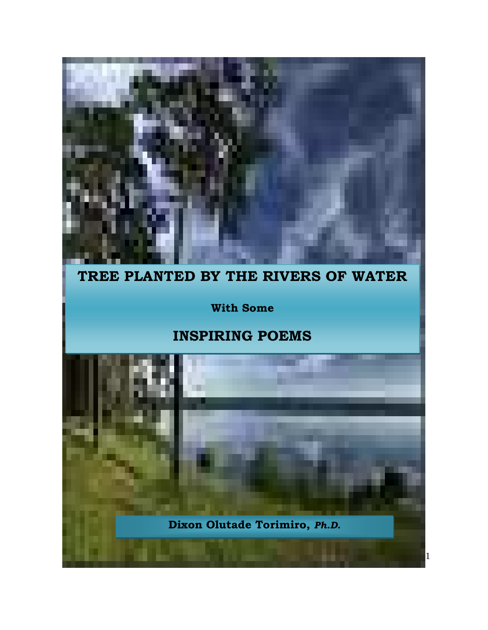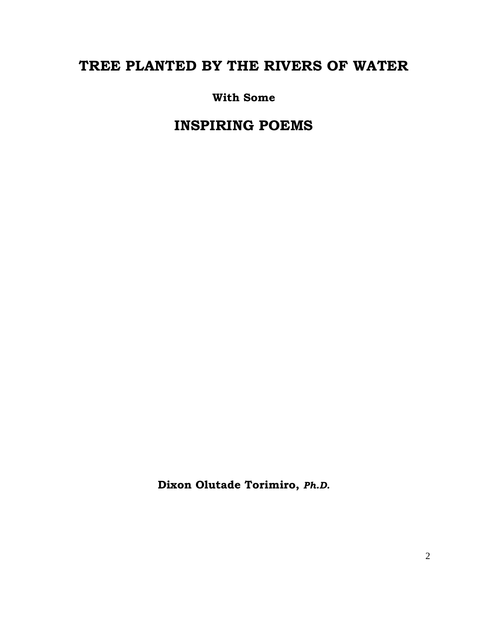# TREE PLANTED BY THE RIVERS OF WATER

With Some

INSPIRING POEMS

Dixon Olutade Torimiro, Ph.D.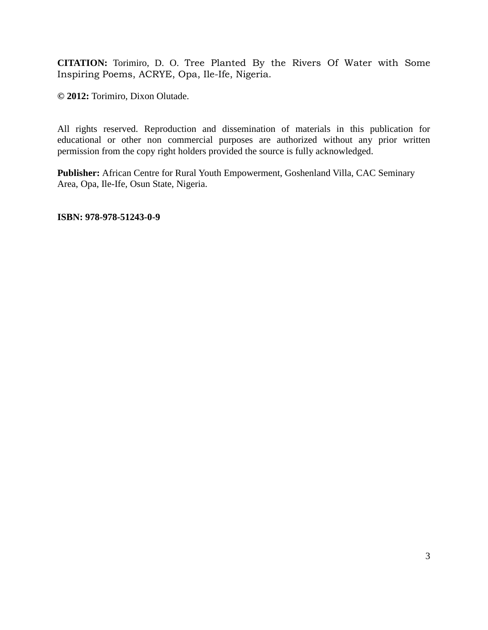**CITATION:** Torimiro, D. O. Tree Planted By the Rivers Of Water with Some Inspiring Poems, ACRYE, Opa, Ile-Ife, Nigeria.

**© 2012:** Torimiro, Dixon Olutade.

All rights reserved. Reproduction and dissemination of materials in this publication for educational or other non commercial purposes are authorized without any prior written permission from the copy right holders provided the source is fully acknowledged.

**Publisher:** African Centre for Rural Youth Empowerment, Goshenland Villa, CAC Seminary Area, Opa, Ile-Ife, Osun State, Nigeria.

**ISBN: 978-978-51243-0-9**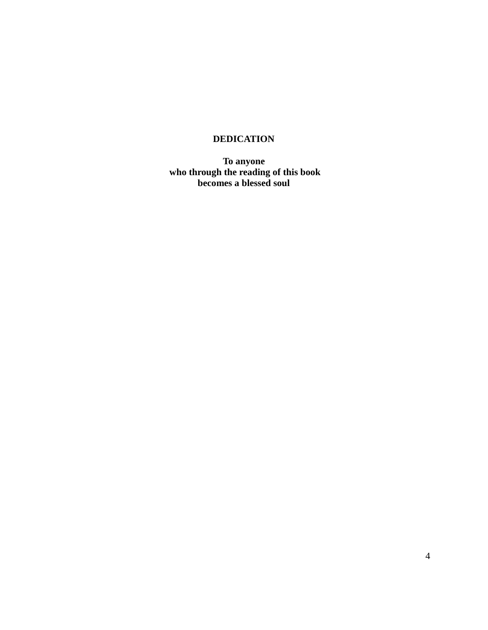# **DEDICATION**

**To anyone who through the reading of this book becomes a blessed soul**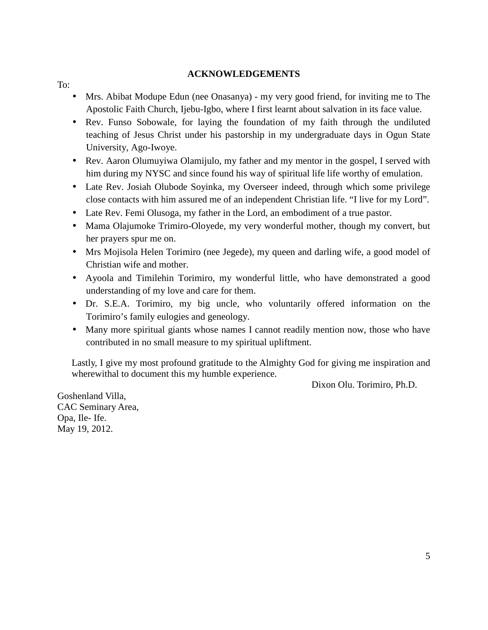### **ACKNOWLEDGEMENTS**

To:

- Mrs. Abibat Modupe Edun (nee Onasanya) my very good friend, for inviting me to The Apostolic Faith Church, Ijebu-Igbo, where I first learnt about salvation in its face value.
- Rev. Funso Sobowale, for laying the foundation of my faith through the undiluted teaching of Jesus Christ under his pastorship in my undergraduate days in Ogun State University, Ago-Iwoye.
- Rev. Aaron Olumuyiwa Olamijulo, my father and my mentor in the gospel, I served with him during my NYSC and since found his way of spiritual life life worthy of emulation.
- Late Rev. Josiah Olubode Soyinka, my Overseer indeed, through which some privilege close contacts with him assured me of an independent Christian life. "I live for my Lord".
- Late Rev. Femi Olusoga, my father in the Lord, an embodiment of a true pastor.
- Mama Olajumoke Trimiro-Oloyede, my very wonderful mother, though my convert, but her prayers spur me on.
- Mrs Mojisola Helen Torimiro (nee Jegede), my queen and darling wife, a good model of Christian wife and mother.
- Ayoola and Timilehin Torimiro, my wonderful little, who have demonstrated a good understanding of my love and care for them.
- Dr. S.E.A. Torimiro, my big uncle, who voluntarily offered information on the Torimiro's family eulogies and geneology.
- Many more spiritual giants whose names I cannot readily mention now, those who have contributed in no small measure to my spiritual upliftment.

Lastly, I give my most profound gratitude to the Almighty God for giving me inspiration and wherewithal to document this my humble experience.

Dixon Olu. Torimiro, Ph.D.

Goshenland Villa, CAC Seminary Area, Opa, Ile- Ife. May 19, 2012.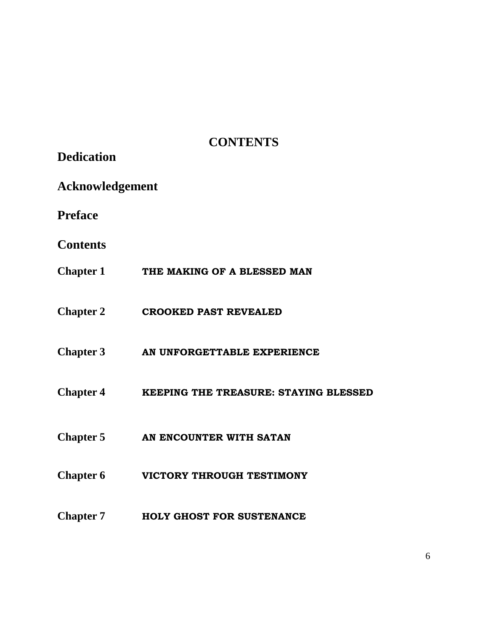# **CONTENTS**

| <b>Dedication</b>      |                                       |  |
|------------------------|---------------------------------------|--|
| <b>Acknowledgement</b> |                                       |  |
| <b>Preface</b>         |                                       |  |
| <b>Contents</b>        |                                       |  |
|                        | Chapter 1 THE MAKING OF A BLESSED MAN |  |
| <b>Chapter 2</b>       | <b>CROOKED PAST REVEALED</b>          |  |
| <b>Chapter 3</b>       | AN UNFORGETTABLE EXPERIENCE           |  |
| <b>Chapter 4</b>       | KEEPING THE TREASURE: STAYING BLESSED |  |
|                        | Chapter 5 AN ENCOUNTER WITH SATAN     |  |
| <b>Chapter 6</b>       | VICTORY THROUGH TESTIMONY             |  |
| <b>Chapter 7</b>       | <b>HOLY GHOST FOR SUSTENANCE</b>      |  |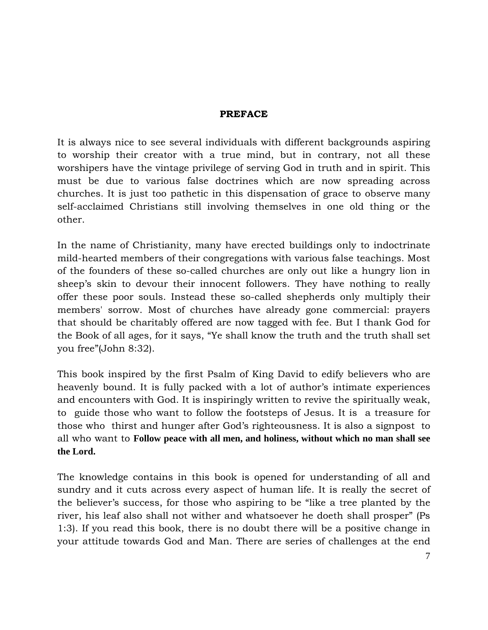# PREFACE

It is always nice to see several individuals with different backgrounds aspiring to worship their creator with a true mind, but in contrary, not all these worshipers have the vintage privilege of serving God in truth and in spirit. This must be due to various false doctrines which are now spreading across churches. It is just too pathetic in this dispensation of grace to observe many self-acclaimed Christians still involving themselves in one old thing or the other.

In the name of Christianity, many have erected buildings only to indoctrinate mild-hearted members of their congregations with various false teachings. Most of the founders of these so-called churches are only out like a hungry lion in sheep's skin to devour their innocent followers. They have nothing to really offer these poor souls. Instead these so-called shepherds only multiply their members' sorrow. Most of churches have already gone commercial: prayers that should be charitably offered are now tagged with fee. But I thank God for the Book of all ages, for it says, "Ye shall know the truth and the truth shall set you free"(John 8:32).

This book inspired by the first Psalm of King David to edify believers who are heavenly bound. It is fully packed with a lot of author's intimate experiences and encounters with God. It is inspiringly written to revive the spiritually weak, to guide those who want to follow the footsteps of Jesus. It is a treasure for those who thirst and hunger after God's righteousness. It is also a signpost to all who want to **Follow peace with all men, and holiness, without which no man shall see the Lord.** 

The knowledge contains in this book is opened for understanding of all and sundry and it cuts across every aspect of human life. It is really the secret of the believer's success, for those who aspiring to be "like a tree planted by the river, his leaf also shall not wither and whatsoever he doeth shall prosper" (Ps 1:3). If you read this book, there is no doubt there will be a positive change in your attitude towards God and Man. There are series of challenges at the end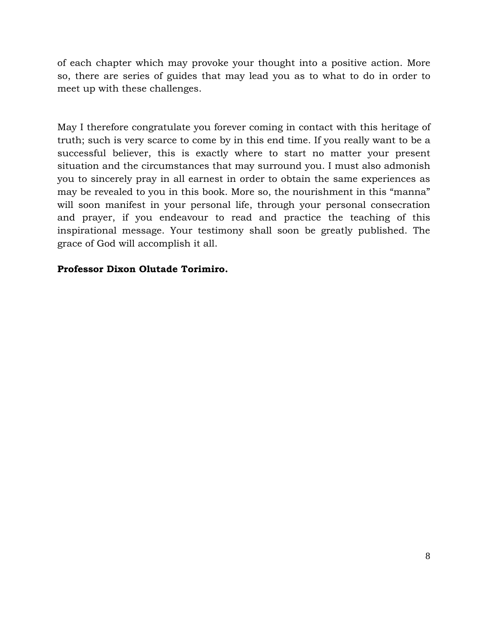of each chapter which may provoke your thought into a positive action. More so, there are series of guides that may lead you as to what to do in order to meet up with these challenges.

May I therefore congratulate you forever coming in contact with this heritage of truth; such is very scarce to come by in this end time. If you really want to be a successful believer, this is exactly where to start no matter your present situation and the circumstances that may surround you. I must also admonish you to sincerely pray in all earnest in order to obtain the same experiences as may be revealed to you in this book. More so, the nourishment in this "manna" will soon manifest in your personal life, through your personal consecration and prayer, if you endeavour to read and practice the teaching of this inspirational message. Your testimony shall soon be greatly published. The grace of God will accomplish it all.

# Professor Dixon Olutade Torimiro.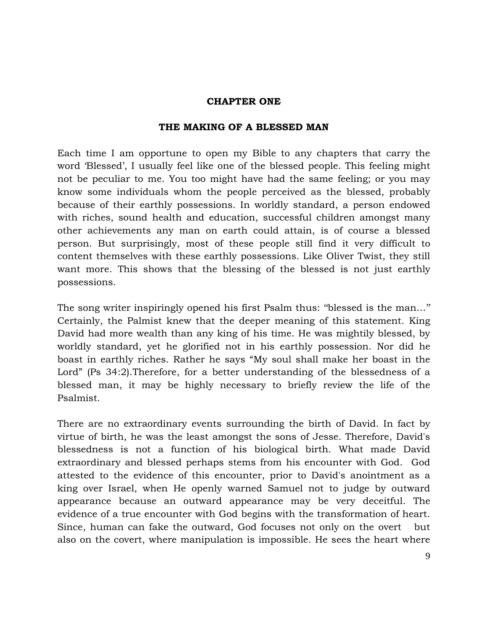### CHAPTER ONE

### THE MAKING OF A BLESSED MAN

Each time I am opportune to open my Bible to any chapters that carry the word 'Blessed', I usually feel like one of the blessed people. This feeling might not be peculiar to me. You too might have had the same feeling; or you may know some individuals whom the people perceived as the blessed, probably because of their earthly possessions. In worldly standard, a person endowed with riches, sound health and education, successful children amongst many other achievements any man on earth could attain, is of course a blessed person. But surprisingly, most of these people still find it very difficult to content themselves with these earthly possessions. Like Oliver Twist, they still want more. This shows that the blessing of the blessed is not just earthly possessions.

The song writer inspiringly opened his first Psalm thus: ''blessed is the man…'' Certainly, the Palmist knew that the deeper meaning of this statement. King David had more wealth than any king of his time. He was mightily blessed, by worldly standard, yet he glorified not in his earthly possession. Nor did he boast in earthly riches. Rather he says "My soul shall make her boast in the Lord" (Ps 34:2).Therefore, for a better understanding of the blessedness of a blessed man, it may be highly necessary to briefly review the life of the Psalmist.

There are no extraordinary events surrounding the birth of David. In fact by virtue of birth, he was the least amongst the sons of Jesse. Therefore, David's blessedness is not a function of his biological birth. What made David extraordinary and blessed perhaps stems from his encounter with God. God attested to the evidence of this encounter, prior to David's anointment as a king over Israel, when He openly warned Samuel not to judge by outward appearance because an outward appearance may be very deceitful. The evidence of a true encounter with God begins with the transformation of heart. Since, human can fake the outward, God focuses not only on the overt but also on the covert, where manipulation is impossible. He sees the heart where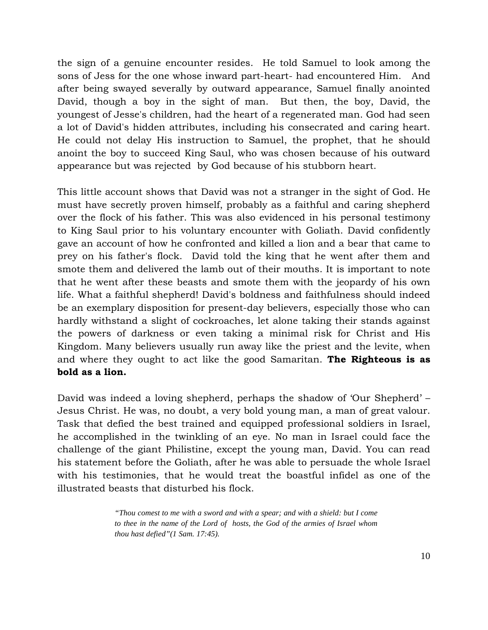the sign of a genuine encounter resides. He told Samuel to look among the sons of Jess for the one whose inward part-heart- had encountered Him. And after being swayed severally by outward appearance, Samuel finally anointed David, though a boy in the sight of man. But then, the boy, David, the youngest of Jesse's children, had the heart of a regenerated man. God had seen a lot of David's hidden attributes, including his consecrated and caring heart. He could not delay His instruction to Samuel, the prophet, that he should anoint the boy to succeed King Saul, who was chosen because of his outward appearance but was rejected by God because of his stubborn heart.

This little account shows that David was not a stranger in the sight of God. He must have secretly proven himself, probably as a faithful and caring shepherd over the flock of his father. This was also evidenced in his personal testimony to King Saul prior to his voluntary encounter with Goliath. David confidently gave an account of how he confronted and killed a lion and a bear that came to prey on his father's flock. David told the king that he went after them and smote them and delivered the lamb out of their mouths. It is important to note that he went after these beasts and smote them with the jeopardy of his own life. What a faithful shepherd! David's boldness and faithfulness should indeed be an exemplary disposition for present-day believers, especially those who can hardly withstand a slight of cockroaches, let alone taking their stands against the powers of darkness or even taking a minimal risk for Christ and His Kingdom. Many believers usually run away like the priest and the levite, when and where they ought to act like the good Samaritan. The Righteous is as bold as a lion.

David was indeed a loving shepherd, perhaps the shadow of 'Our Shepherd' – Jesus Christ. He was, no doubt, a very bold young man, a man of great valour. Task that defied the best trained and equipped professional soldiers in Israel, he accomplished in the twinkling of an eye. No man in Israel could face the challenge of the giant Philistine, except the young man, David. You can read his statement before the Goliath, after he was able to persuade the whole Israel with his testimonies, that he would treat the boastful infidel as one of the illustrated beasts that disturbed his flock.

> *"Thou comest to me with a sword and with a spear; and with a shield: but I come to thee in the name of the Lord of hosts, the God of the armies of Israel whom thou hast defied"(1 Sam. 17:45).*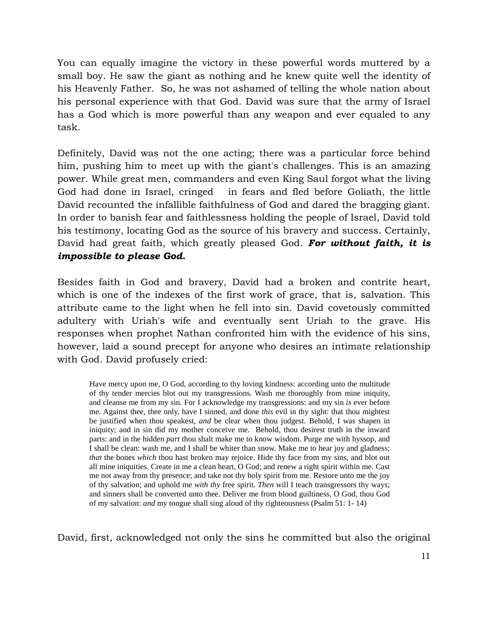You can equally imagine the victory in these powerful words muttered by a small boy. He saw the giant as nothing and he knew quite well the identity of his Heavenly Father. So, he was not ashamed of telling the whole nation about his personal experience with that God. David was sure that the army of Israel has a God which is more powerful than any weapon and ever equaled to any task.

Definitely, David was not the one acting; there was a particular force behind him, pushing him to meet up with the giant's challenges. This is an amazing power. While great men, commanders and even King Saul forgot what the living God had done in Israel, cringed in fears and fled before Goliath, the little David recounted the infallible faithfulness of God and dared the bragging giant. In order to banish fear and faithlessness holding the people of Israel, David told his testimony, locating God as the source of his bravery and success. Certainly, David had great faith, which greatly pleased God. For without faith, it is impossible to please God.

Besides faith in God and bravery, David had a broken and contrite heart, which is one of the indexes of the first work of grace, that is, salvation. This attribute came to the light when he fell into sin. David covetously committed adultery with Uriah's wife and eventually sent Uriah to the grave. His responses when prophet Nathan confronted him with the evidence of his sins, however, laid a sound precept for anyone who desires an intimate relationship with God. David profusely cried:

Have mercy upon me, O God, according to thy loving kindness: according unto the multitude of thy tender mercies blot out my transgressions. Wash me thoroughly from mine iniquity, and cleanse me from my sin. For I acknowledge my transgressions: and my sin *is* ever before me. Against thee, thee only, have I sinned, and done *this* evil in thy sight: that thou mightest be justified when thou speakest, *and* be clear when thou judgest. Behold, I was shapen in iniquity; and in sin did my mother conceive me. Behold, thou desirest truth in the inward parts: and in the hidden *part* thou shalt make me to know wisdom. Purge me with hyssop, and I shall be clean: wash me, and I shall be whiter than snow. Make me to hear joy and gladness; *that* the bones *which* thou hast broken may rejoice. Hide thy face from my sins, and blot out all mine iniquities. Create in me a clean heart, O God; and renew a right spirit within me. Cast me not away from thy presence; and take not thy holy spirit from me. Restore unto me the joy of thy salvation; and uphold me *with thy* free spirit. *Then* will I teach transgressors thy ways; and sinners shall be converted unto thee. Deliver me from blood guiltiness, O God, thou God of my salvation: *and* my tongue shall sing aloud of thy righteousness (Psalm 51: 1- 14)

David, first, acknowledged not only the sins he committed but also the original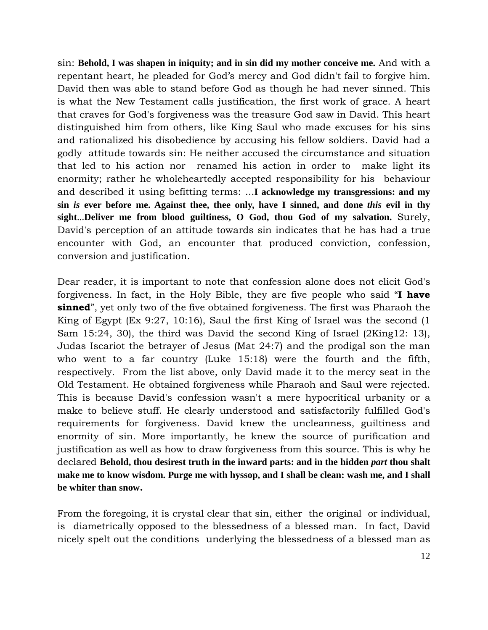sin: **Behold, I was shapen in iniquity; and in sin did my mother conceive me.** And with a repentant heart, he pleaded for God's mercy and God didn't fail to forgive him. David then was able to stand before God as though he had never sinned. This is what the New Testament calls justification, the first work of grace. A heart that craves for God's forgiveness was the treasure God saw in David. This heart distinguished him from others, like King Saul who made excuses for his sins and rationalized his disobedience by accusing his fellow soldiers. David had a godly attitude towards sin: He neither accused the circumstance and situation that led to his action nor renamed his action in order to make light its enormity; rather he wholeheartedly accepted responsibility for his behaviour and described it using befitting terms: ...**I acknowledge my transgressions: and my sin** *is* **ever before me. Against thee, thee only, have I sinned, and done** *this* **evil in thy sight**...**Deliver me from blood guiltiness, O God, thou God of my salvation.** Surely, David's perception of an attitude towards sin indicates that he has had a true encounter with God, an encounter that produced conviction, confession, conversion and justification.

Dear reader, it is important to note that confession alone does not elicit God's forgiveness. In fact, in the Holy Bible, they are five people who said "I have **sinned**", yet only two of the five obtained forgiveness. The first was Pharaoh the King of Egypt (Ex 9:27, 10:16), Saul the first King of Israel was the second (1 Sam 15:24, 30), the third was David the second King of Israel (2King12: 13), Judas Iscariot the betrayer of Jesus (Mat 24:7) and the prodigal son the man who went to a far country (Luke 15:18) were the fourth and the fifth, respectively. From the list above, only David made it to the mercy seat in the Old Testament. He obtained forgiveness while Pharaoh and Saul were rejected. This is because David's confession wasn't a mere hypocritical urbanity or a make to believe stuff. He clearly understood and satisfactorily fulfilled God's requirements for forgiveness. David knew the uncleanness, guiltiness and enormity of sin. More importantly, he knew the source of purification and justification as well as how to draw forgiveness from this source. This is why he declared **Behold, thou desirest truth in the inward parts: and in the hidden** *part* **thou shalt make me to know wisdom. Purge me with hyssop, and I shall be clean: wash me, and I shall be whiter than snow**.

From the foregoing, it is crystal clear that sin, either the original or individual, is diametrically opposed to the blessedness of a blessed man. In fact, David nicely spelt out the conditions underlying the blessedness of a blessed man as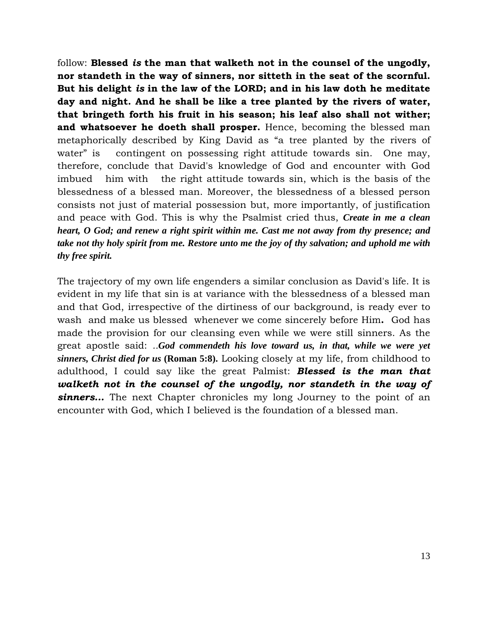follow: Blessed is the man that walketh not in the counsel of the ungodly, nor standeth in the way of sinners, nor sitteth in the seat of the scornful. But his delight is in the law of the LORD; and in his law doth he meditate day and night. And he shall be like a tree planted by the rivers of water, that bringeth forth his fruit in his season; his leaf also shall not wither; and whatsoever he doeth shall prosper. Hence, becoming the blessed man metaphorically described by King David as "a tree planted by the rivers of water" is contingent on possessing right attitude towards sin. One may, therefore, conclude that David's knowledge of God and encounter with God imbued him with the right attitude towards sin, which is the basis of the blessedness of a blessed man. Moreover, the blessedness of a blessed person consists not just of material possession but, more importantly, of justification and peace with God. This is why the Psalmist cried thus, *Create in me a clean heart, O God; and renew a right spirit within me. Cast me not away from thy presence; and take not thy holy spirit from me. Restore unto me the joy of thy salvation; and uphold me with thy free spirit.*

The trajectory of my own life engenders a similar conclusion as David's life. It is evident in my life that sin is at variance with the blessedness of a blessed man and that God, irrespective of the dirtiness of our background, is ready ever to wash and make us blessed whenever we come sincerely before Him. God has made the provision for our cleansing even while we were still sinners. As the great apostle said: ..*God commendeth his love toward us, in that, while we were yet sinners, Christ died for us* **(Roman 5:8).** Looking closely at my life, from childhood to adulthood, I could say like the great Palmist: **Blessed is the man that** walketh not in the counsel of the ungodly, nor standeth in the way of sinners... The next Chapter chronicles my long Journey to the point of an encounter with God, which I believed is the foundation of a blessed man.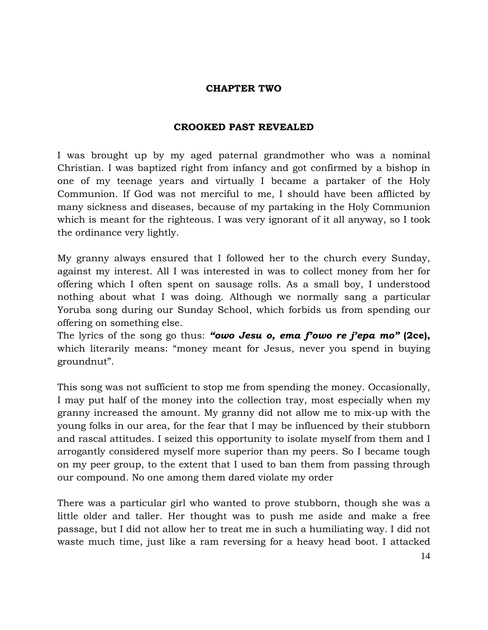# CHAPTER TWO

# CROOKED PAST REVEALED

I was brought up by my aged paternal grandmother who was a nominal Christian. I was baptized right from infancy and got confirmed by a bishop in one of my teenage years and virtually I became a partaker of the Holy Communion. If God was not merciful to me, I should have been afflicted by many sickness and diseases, because of my partaking in the Holy Communion which is meant for the righteous. I was very ignorant of it all anyway, so I took the ordinance very lightly.

My granny always ensured that I followed her to the church every Sunday, against my interest. All I was interested in was to collect money from her for offering which I often spent on sausage rolls. As a small boy, I understood nothing about what I was doing. Although we normally sang a particular Yoruba song during our Sunday School, which forbids us from spending our offering on something else.

The lyrics of the song go thus: "owo Jesu o, ema f'owo re j'epa mo" (2ce), which literarily means: "money meant for Jesus, never you spend in buying groundnut".

This song was not sufficient to stop me from spending the money. Occasionally, I may put half of the money into the collection tray, most especially when my granny increased the amount. My granny did not allow me to mix-up with the young folks in our area, for the fear that I may be influenced by their stubborn and rascal attitudes. I seized this opportunity to isolate myself from them and I arrogantly considered myself more superior than my peers. So I became tough on my peer group, to the extent that I used to ban them from passing through our compound. No one among them dared violate my order

There was a particular girl who wanted to prove stubborn, though she was a little older and taller. Her thought was to push me aside and make a free passage, but I did not allow her to treat me in such a humiliating way. I did not waste much time, just like a ram reversing for a heavy head boot. I attacked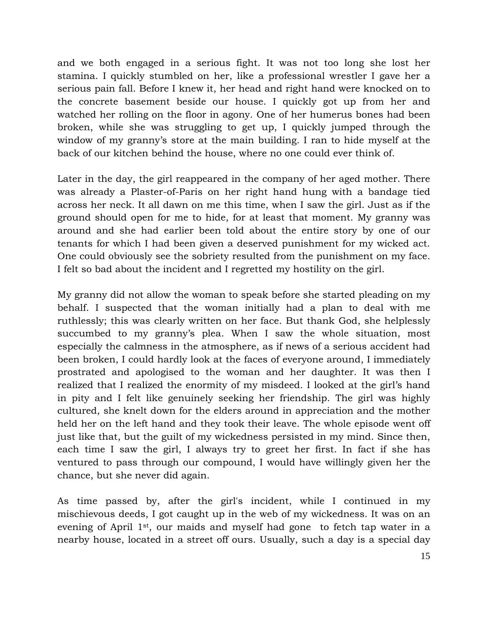and we both engaged in a serious fight. It was not too long she lost her stamina. I quickly stumbled on her, like a professional wrestler I gave her a serious pain fall. Before I knew it, her head and right hand were knocked on to the concrete basement beside our house. I quickly got up from her and watched her rolling on the floor in agony. One of her humerus bones had been broken, while she was struggling to get up, I quickly jumped through the window of my granny's store at the main building. I ran to hide myself at the back of our kitchen behind the house, where no one could ever think of.

Later in the day, the girl reappeared in the company of her aged mother. There was already a Plaster-of-Paris on her right hand hung with a bandage tied across her neck. It all dawn on me this time, when I saw the girl. Just as if the ground should open for me to hide, for at least that moment. My granny was around and she had earlier been told about the entire story by one of our tenants for which I had been given a deserved punishment for my wicked act. One could obviously see the sobriety resulted from the punishment on my face. I felt so bad about the incident and I regretted my hostility on the girl.

My granny did not allow the woman to speak before she started pleading on my behalf. I suspected that the woman initially had a plan to deal with me ruthlessly; this was clearly written on her face. But thank God, she helplessly succumbed to my granny's plea. When I saw the whole situation, most especially the calmness in the atmosphere, as if news of a serious accident had been broken, I could hardly look at the faces of everyone around, I immediately prostrated and apologised to the woman and her daughter. It was then I realized that I realized the enormity of my misdeed. I looked at the girl's hand in pity and I felt like genuinely seeking her friendship. The girl was highly cultured, she knelt down for the elders around in appreciation and the mother held her on the left hand and they took their leave. The whole episode went off just like that, but the guilt of my wickedness persisted in my mind. Since then, each time I saw the girl, I always try to greet her first. In fact if she has ventured to pass through our compound, I would have willingly given her the chance, but she never did again.

As time passed by, after the girl's incident, while I continued in my mischievous deeds, I got caught up in the web of my wickedness. It was on an evening of April 1st, our maids and myself had gone to fetch tap water in a nearby house, located in a street off ours. Usually, such a day is a special day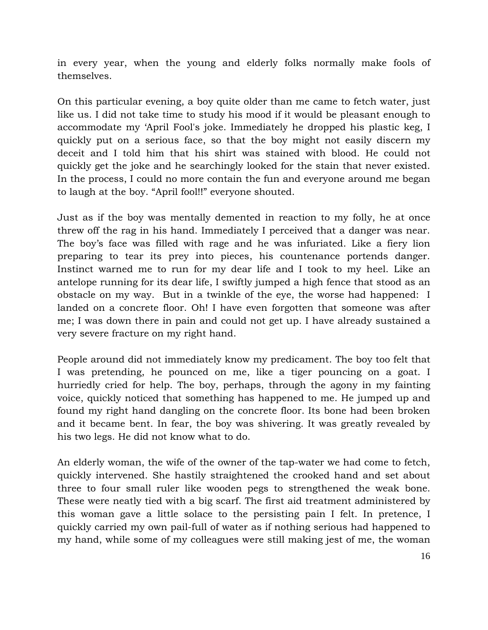in every year, when the young and elderly folks normally make fools of themselves.

On this particular evening, a boy quite older than me came to fetch water, just like us. I did not take time to study his mood if it would be pleasant enough to accommodate my 'April Fool's joke. Immediately he dropped his plastic keg, I quickly put on a serious face, so that the boy might not easily discern my deceit and I told him that his shirt was stained with blood. He could not quickly get the joke and he searchingly looked for the stain that never existed. In the process, I could no more contain the fun and everyone around me began to laugh at the boy. "April fool!!" everyone shouted.

Just as if the boy was mentally demented in reaction to my folly, he at once threw off the rag in his hand. Immediately I perceived that a danger was near. The boy's face was filled with rage and he was infuriated. Like a fiery lion preparing to tear its prey into pieces, his countenance portends danger. Instinct warned me to run for my dear life and I took to my heel. Like an antelope running for its dear life, I swiftly jumped a high fence that stood as an obstacle on my way. But in a twinkle of the eye, the worse had happened: I landed on a concrete floor. Oh! I have even forgotten that someone was after me; I was down there in pain and could not get up. I have already sustained a very severe fracture on my right hand.

People around did not immediately know my predicament. The boy too felt that I was pretending, he pounced on me, like a tiger pouncing on a goat. I hurriedly cried for help. The boy, perhaps, through the agony in my fainting voice, quickly noticed that something has happened to me. He jumped up and found my right hand dangling on the concrete floor. Its bone had been broken and it became bent. In fear, the boy was shivering. It was greatly revealed by his two legs. He did not know what to do.

An elderly woman, the wife of the owner of the tap-water we had come to fetch, quickly intervened. She hastily straightened the crooked hand and set about three to four small ruler like wooden pegs to strengthened the weak bone. These were neatly tied with a big scarf. The first aid treatment administered by this woman gave a little solace to the persisting pain I felt. In pretence, I quickly carried my own pail-full of water as if nothing serious had happened to my hand, while some of my colleagues were still making jest of me, the woman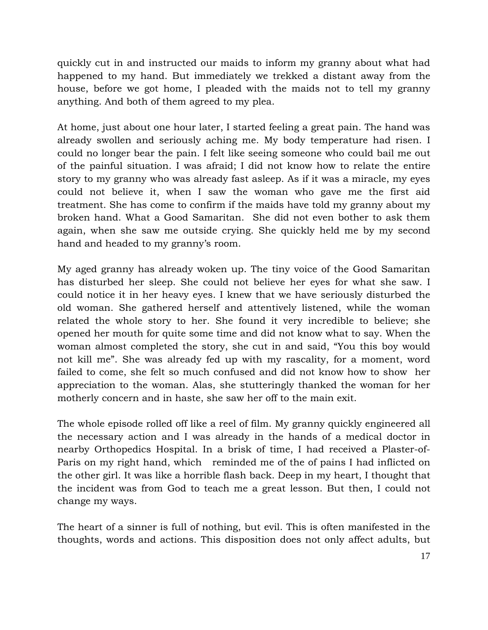quickly cut in and instructed our maids to inform my granny about what had happened to my hand. But immediately we trekked a distant away from the house, before we got home, I pleaded with the maids not to tell my granny anything. And both of them agreed to my plea.

At home, just about one hour later, I started feeling a great pain. The hand was already swollen and seriously aching me. My body temperature had risen. I could no longer bear the pain. I felt like seeing someone who could bail me out of the painful situation. I was afraid; I did not know how to relate the entire story to my granny who was already fast asleep. As if it was a miracle, my eyes could not believe it, when I saw the woman who gave me the first aid treatment. She has come to confirm if the maids have told my granny about my broken hand. What a Good Samaritan. She did not even bother to ask them again, when she saw me outside crying. She quickly held me by my second hand and headed to my granny's room.

My aged granny has already woken up. The tiny voice of the Good Samaritan has disturbed her sleep. She could not believe her eyes for what she saw. I could notice it in her heavy eyes. I knew that we have seriously disturbed the old woman. She gathered herself and attentively listened, while the woman related the whole story to her. She found it very incredible to believe; she opened her mouth for quite some time and did not know what to say. When the woman almost completed the story, she cut in and said, "You this boy would not kill me". She was already fed up with my rascality, for a moment, word failed to come, she felt so much confused and did not know how to show her appreciation to the woman. Alas, she stutteringly thanked the woman for her motherly concern and in haste, she saw her off to the main exit.

The whole episode rolled off like a reel of film. My granny quickly engineered all the necessary action and I was already in the hands of a medical doctor in nearby Orthopedics Hospital. In a brisk of time, I had received a Plaster-of-Paris on my right hand, which reminded me of the of pains I had inflicted on the other girl. It was like a horrible flash back. Deep in my heart, I thought that the incident was from God to teach me a great lesson. But then, I could not change my ways.

The heart of a sinner is full of nothing, but evil. This is often manifested in the thoughts, words and actions. This disposition does not only affect adults, but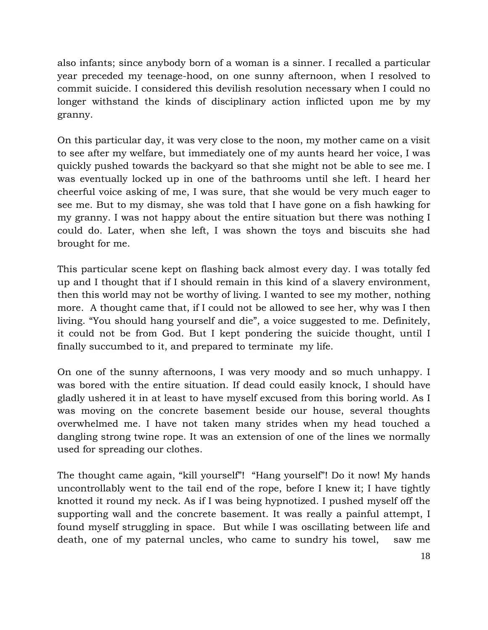also infants; since anybody born of a woman is a sinner. I recalled a particular year preceded my teenage-hood, on one sunny afternoon, when I resolved to commit suicide. I considered this devilish resolution necessary when I could no longer withstand the kinds of disciplinary action inflicted upon me by my granny.

On this particular day, it was very close to the noon, my mother came on a visit to see after my welfare, but immediately one of my aunts heard her voice, I was quickly pushed towards the backyard so that she might not be able to see me. I was eventually locked up in one of the bathrooms until she left. I heard her cheerful voice asking of me, I was sure, that she would be very much eager to see me. But to my dismay, she was told that I have gone on a fish hawking for my granny. I was not happy about the entire situation but there was nothing I could do. Later, when she left, I was shown the toys and biscuits she had brought for me.

This particular scene kept on flashing back almost every day. I was totally fed up and I thought that if I should remain in this kind of a slavery environment, then this world may not be worthy of living. I wanted to see my mother, nothing more. A thought came that, if I could not be allowed to see her, why was I then living. "You should hang yourself and die", a voice suggested to me. Definitely, it could not be from God. But I kept pondering the suicide thought, until I finally succumbed to it, and prepared to terminate my life.

On one of the sunny afternoons, I was very moody and so much unhappy. I was bored with the entire situation. If dead could easily knock, I should have gladly ushered it in at least to have myself excused from this boring world. As I was moving on the concrete basement beside our house, several thoughts overwhelmed me. I have not taken many strides when my head touched a dangling strong twine rope. It was an extension of one of the lines we normally used for spreading our clothes.

The thought came again, "kill yourself"! "Hang yourself"! Do it now! My hands uncontrollably went to the tail end of the rope, before I knew it; I have tightly knotted it round my neck. As if I was being hypnotized. I pushed myself off the supporting wall and the concrete basement. It was really a painful attempt, I found myself struggling in space. But while I was oscillating between life and death, one of my paternal uncles, who came to sundry his towel, saw me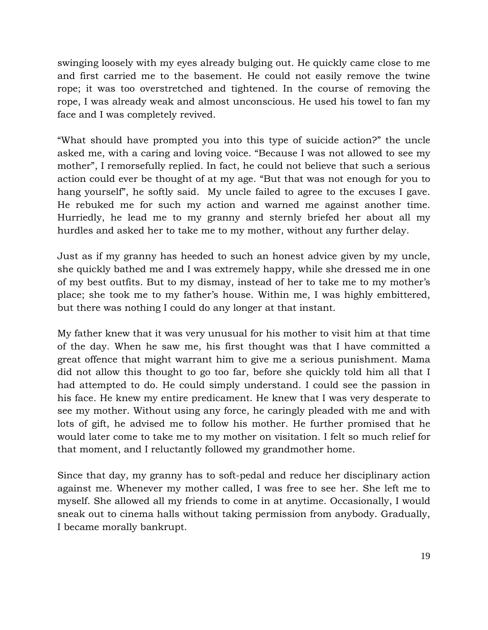swinging loosely with my eyes already bulging out. He quickly came close to me and first carried me to the basement. He could not easily remove the twine rope; it was too overstretched and tightened. In the course of removing the rope, I was already weak and almost unconscious. He used his towel to fan my face and I was completely revived.

"What should have prompted you into this type of suicide action?" the uncle asked me, with a caring and loving voice. "Because I was not allowed to see my mother", I remorsefully replied. In fact, he could not believe that such a serious action could ever be thought of at my age. "But that was not enough for you to hang yourself", he softly said. My uncle failed to agree to the excuses I gave. He rebuked me for such my action and warned me against another time. Hurriedly, he lead me to my granny and sternly briefed her about all my hurdles and asked her to take me to my mother, without any further delay.

Just as if my granny has heeded to such an honest advice given by my uncle, she quickly bathed me and I was extremely happy, while she dressed me in one of my best outfits. But to my dismay, instead of her to take me to my mother's place; she took me to my father's house. Within me, I was highly embittered, but there was nothing I could do any longer at that instant.

My father knew that it was very unusual for his mother to visit him at that time of the day. When he saw me, his first thought was that I have committed a great offence that might warrant him to give me a serious punishment. Mama did not allow this thought to go too far, before she quickly told him all that I had attempted to do. He could simply understand. I could see the passion in his face. He knew my entire predicament. He knew that I was very desperate to see my mother. Without using any force, he caringly pleaded with me and with lots of gift, he advised me to follow his mother. He further promised that he would later come to take me to my mother on visitation. I felt so much relief for that moment, and I reluctantly followed my grandmother home.

Since that day, my granny has to soft-pedal and reduce her disciplinary action against me. Whenever my mother called, I was free to see her. She left me to myself. She allowed all my friends to come in at anytime. Occasionally, I would sneak out to cinema halls without taking permission from anybody. Gradually, I became morally bankrupt.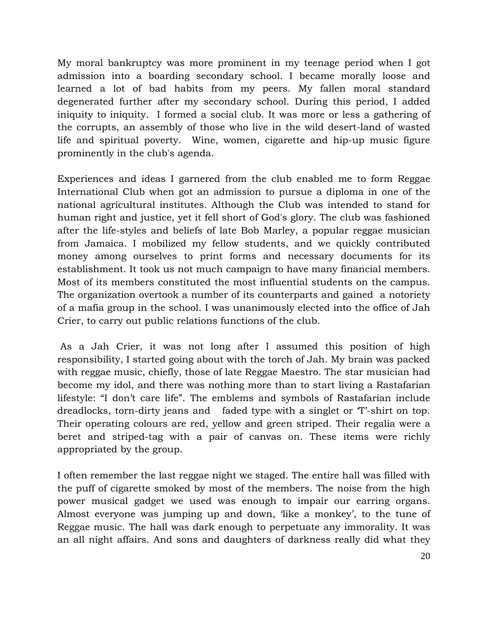My moral bankruptcy was more prominent in my teenage period when I got admission into a boarding secondary school. I became morally loose and learned a lot of bad habits from my peers. My fallen moral standard degenerated further after my secondary school. During this period, I added iniquity to iniquity. I formed a social club. It was more or less a gathering of the corrupts, an assembly of those who live in the wild desert-land of wasted life and spiritual poverty. Wine, women, cigarette and hip-up music figure prominently in the club's agenda.

Experiences and ideas I garnered from the club enabled me to form Reggae International Club when got an admission to pursue a diploma in one of the national agricultural institutes. Although the Club was intended to stand for human right and justice, yet it fell short of God's glory. The club was fashioned after the life-styles and beliefs of late Bob Marley, a popular reggae musician from Jamaica. I mobilized my fellow students, and we quickly contributed money among ourselves to print forms and necessary documents for its establishment. It took us not much campaign to have many financial members. Most of its members constituted the most influential students on the campus. The organization overtook a number of its counterparts and gained a notoriety of a mafia group in the school. I was unanimously elected into the office of Jah Crier, to carry out public relations functions of the club.

 As a Jah Crier, it was not long after I assumed this position of high responsibility, I started going about with the torch of Jah. My brain was packed with reggae music, chiefly, those of late Reggae Maestro. The star musician had become my idol, and there was nothing more than to start living a Rastafarian lifestyle: "I don't care life". The emblems and symbols of Rastafarian include dreadlocks, torn-dirty jeans and faded type with a singlet or 'T'-shirt on top. Their operating colours are red, yellow and green striped. Their regalia were a beret and striped-tag with a pair of canvas on. These items were richly appropriated by the group.

I often remember the last reggae night we staged. The entire hall was filled with the puff of cigarette smoked by most of the members. The noise from the high power musical gadget we used was enough to impair our earring organs. Almost everyone was jumping up and down, 'like a monkey', to the tune of Reggae music. The hall was dark enough to perpetuate any immorality. It was an all night affairs. And sons and daughters of darkness really did what they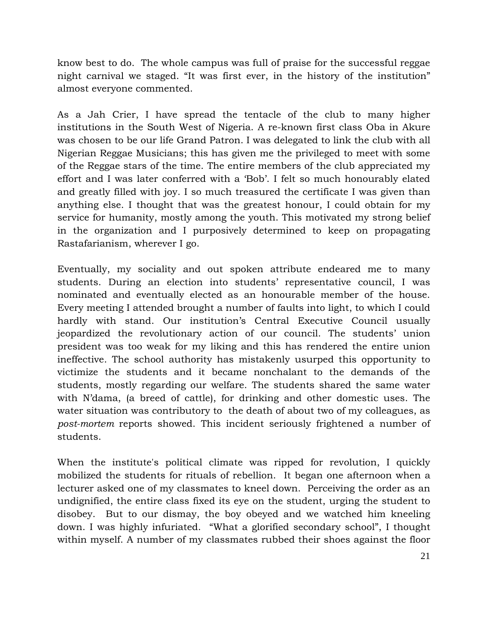know best to do. The whole campus was full of praise for the successful reggae night carnival we staged. "It was first ever, in the history of the institution" almost everyone commented.

As a Jah Crier, I have spread the tentacle of the club to many higher institutions in the South West of Nigeria. A re-known first class Oba in Akure was chosen to be our life Grand Patron. I was delegated to link the club with all Nigerian Reggae Musicians; this has given me the privileged to meet with some of the Reggae stars of the time. The entire members of the club appreciated my effort and I was later conferred with a 'Bob'. I felt so much honourably elated and greatly filled with joy. I so much treasured the certificate I was given than anything else. I thought that was the greatest honour, I could obtain for my service for humanity, mostly among the youth. This motivated my strong belief in the organization and I purposively determined to keep on propagating Rastafarianism, wherever I go.

Eventually, my sociality and out spoken attribute endeared me to many students. During an election into students' representative council, I was nominated and eventually elected as an honourable member of the house. Every meeting I attended brought a number of faults into light, to which I could hardly with stand. Our institution's Central Executive Council usually jeopardized the revolutionary action of our council. The students' union president was too weak for my liking and this has rendered the entire union ineffective. The school authority has mistakenly usurped this opportunity to victimize the students and it became nonchalant to the demands of the students, mostly regarding our welfare. The students shared the same water with N'dama, (a breed of cattle), for drinking and other domestic uses. The water situation was contributory to the death of about two of my colleagues, as post-mortem reports showed. This incident seriously frightened a number of students.

When the institute's political climate was ripped for revolution, I quickly mobilized the students for rituals of rebellion. It began one afternoon when a lecturer asked one of my classmates to kneel down. Perceiving the order as an undignified, the entire class fixed its eye on the student, urging the student to disobey. But to our dismay, the boy obeyed and we watched him kneeling down. I was highly infuriated. "What a glorified secondary school", I thought within myself. A number of my classmates rubbed their shoes against the floor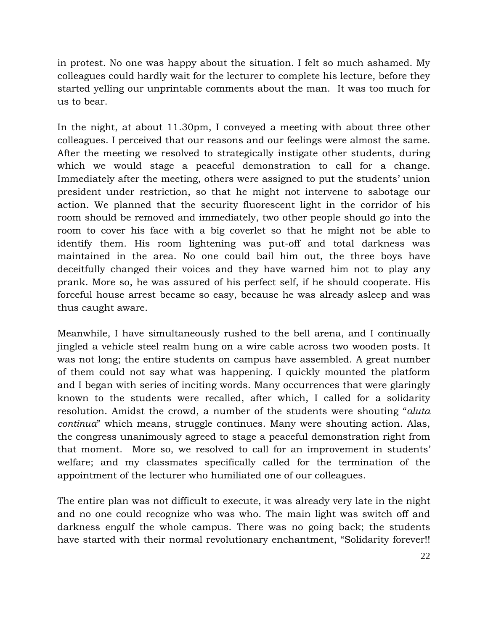in protest. No one was happy about the situation. I felt so much ashamed. My colleagues could hardly wait for the lecturer to complete his lecture, before they started yelling our unprintable comments about the man. It was too much for us to bear.

In the night, at about 11.30pm, I conveyed a meeting with about three other colleagues. I perceived that our reasons and our feelings were almost the same. After the meeting we resolved to strategically instigate other students, during which we would stage a peaceful demonstration to call for a change. Immediately after the meeting, others were assigned to put the students' union president under restriction, so that he might not intervene to sabotage our action. We planned that the security fluorescent light in the corridor of his room should be removed and immediately, two other people should go into the room to cover his face with a big coverlet so that he might not be able to identify them. His room lightening was put-off and total darkness was maintained in the area. No one could bail him out, the three boys have deceitfully changed their voices and they have warned him not to play any prank. More so, he was assured of his perfect self, if he should cooperate. His forceful house arrest became so easy, because he was already asleep and was thus caught aware.

Meanwhile, I have simultaneously rushed to the bell arena, and I continually jingled a vehicle steel realm hung on a wire cable across two wooden posts. It was not long; the entire students on campus have assembled. A great number of them could not say what was happening. I quickly mounted the platform and I began with series of inciting words. Many occurrences that were glaringly known to the students were recalled, after which, I called for a solidarity resolution. Amidst the crowd, a number of the students were shouting "aluta continua" which means, struggle continues. Many were shouting action. Alas, the congress unanimously agreed to stage a peaceful demonstration right from that moment. More so, we resolved to call for an improvement in students' welfare; and my classmates specifically called for the termination of the appointment of the lecturer who humiliated one of our colleagues.

The entire plan was not difficult to execute, it was already very late in the night and no one could recognize who was who. The main light was switch off and darkness engulf the whole campus. There was no going back; the students have started with their normal revolutionary enchantment, "Solidarity forever!!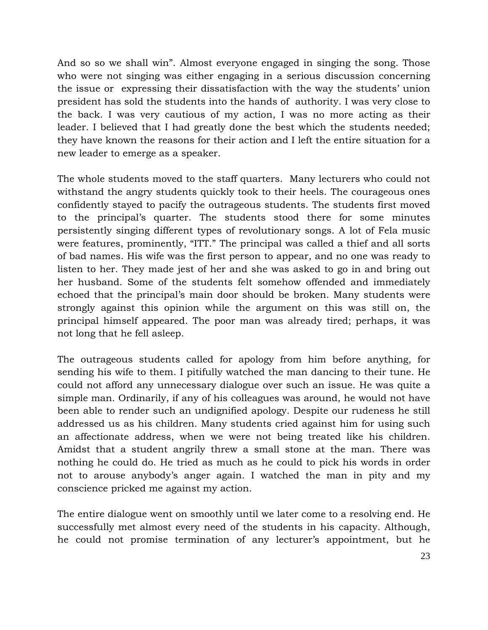And so so we shall win". Almost everyone engaged in singing the song. Those who were not singing was either engaging in a serious discussion concerning the issue or expressing their dissatisfaction with the way the students' union president has sold the students into the hands of authority. I was very close to the back. I was very cautious of my action, I was no more acting as their leader. I believed that I had greatly done the best which the students needed; they have known the reasons for their action and I left the entire situation for a new leader to emerge as a speaker.

The whole students moved to the staff quarters. Many lecturers who could not withstand the angry students quickly took to their heels. The courageous ones confidently stayed to pacify the outrageous students. The students first moved to the principal's quarter. The students stood there for some minutes persistently singing different types of revolutionary songs. A lot of Fela music were features, prominently, "ITT." The principal was called a thief and all sorts of bad names. His wife was the first person to appear, and no one was ready to listen to her. They made jest of her and she was asked to go in and bring out her husband. Some of the students felt somehow offended and immediately echoed that the principal's main door should be broken. Many students were strongly against this opinion while the argument on this was still on, the principal himself appeared. The poor man was already tired; perhaps, it was not long that he fell asleep.

The outrageous students called for apology from him before anything, for sending his wife to them. I pitifully watched the man dancing to their tune. He could not afford any unnecessary dialogue over such an issue. He was quite a simple man. Ordinarily, if any of his colleagues was around, he would not have been able to render such an undignified apology. Despite our rudeness he still addressed us as his children. Many students cried against him for using such an affectionate address, when we were not being treated like his children. Amidst that a student angrily threw a small stone at the man. There was nothing he could do. He tried as much as he could to pick his words in order not to arouse anybody's anger again. I watched the man in pity and my conscience pricked me against my action.

The entire dialogue went on smoothly until we later come to a resolving end. He successfully met almost every need of the students in his capacity. Although, he could not promise termination of any lecturer's appointment, but he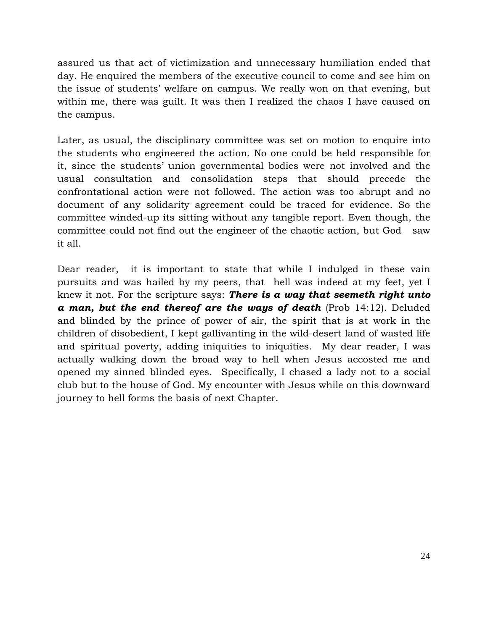assured us that act of victimization and unnecessary humiliation ended that day. He enquired the members of the executive council to come and see him on the issue of students' welfare on campus. We really won on that evening, but within me, there was guilt. It was then I realized the chaos I have caused on the campus.

Later, as usual, the disciplinary committee was set on motion to enquire into the students who engineered the action. No one could be held responsible for it, since the students' union governmental bodies were not involved and the usual consultation and consolidation steps that should precede the confrontational action were not followed. The action was too abrupt and no document of any solidarity agreement could be traced for evidence. So the committee winded-up its sitting without any tangible report. Even though, the committee could not find out the engineer of the chaotic action, but God saw it all.

Dear reader, it is important to state that while I indulged in these vain pursuits and was hailed by my peers, that hell was indeed at my feet, yet I knew it not. For the scripture says: There is a way that seemeth right unto  $a$  man, but the end thereof are the ways of death (Prob 14:12). Deluded and blinded by the prince of power of air, the spirit that is at work in the children of disobedient, I kept gallivanting in the wild-desert land of wasted life and spiritual poverty, adding iniquities to iniquities. My dear reader, I was actually walking down the broad way to hell when Jesus accosted me and opened my sinned blinded eyes. Specifically, I chased a lady not to a social club but to the house of God. My encounter with Jesus while on this downward journey to hell forms the basis of next Chapter.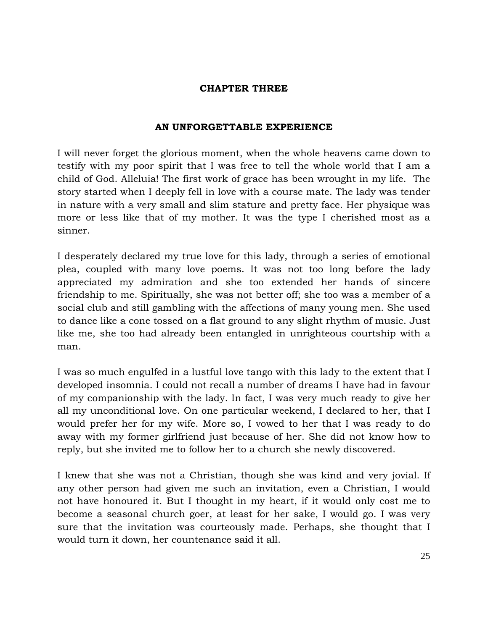# CHAPTER THREE

# AN UNFORGETTABLE EXPERIENCE

I will never forget the glorious moment, when the whole heavens came down to testify with my poor spirit that I was free to tell the whole world that I am a child of God. Alleluia! The first work of grace has been wrought in my life. The story started when I deeply fell in love with a course mate. The lady was tender in nature with a very small and slim stature and pretty face. Her physique was more or less like that of my mother. It was the type I cherished most as a sinner.

I desperately declared my true love for this lady, through a series of emotional plea, coupled with many love poems. It was not too long before the lady appreciated my admiration and she too extended her hands of sincere friendship to me. Spiritually, she was not better off; she too was a member of a social club and still gambling with the affections of many young men. She used to dance like a cone tossed on a flat ground to any slight rhythm of music. Just like me, she too had already been entangled in unrighteous courtship with a man.

I was so much engulfed in a lustful love tango with this lady to the extent that I developed insomnia. I could not recall a number of dreams I have had in favour of my companionship with the lady. In fact, I was very much ready to give her all my unconditional love. On one particular weekend, I declared to her, that I would prefer her for my wife. More so, I vowed to her that I was ready to do away with my former girlfriend just because of her. She did not know how to reply, but she invited me to follow her to a church she newly discovered.

I knew that she was not a Christian, though she was kind and very jovial. If any other person had given me such an invitation, even a Christian, I would not have honoured it. But I thought in my heart, if it would only cost me to become a seasonal church goer, at least for her sake, I would go. I was very sure that the invitation was courteously made. Perhaps, she thought that I would turn it down, her countenance said it all.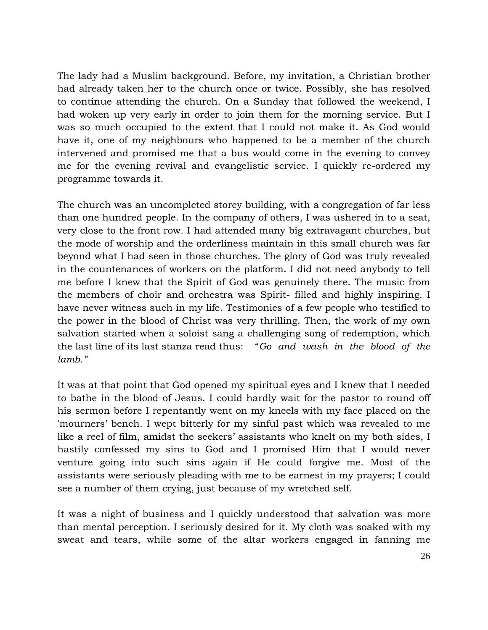The lady had a Muslim background. Before, my invitation, a Christian brother had already taken her to the church once or twice. Possibly, she has resolved to continue attending the church. On a Sunday that followed the weekend, I had woken up very early in order to join them for the morning service. But I was so much occupied to the extent that I could not make it. As God would have it, one of my neighbours who happened to be a member of the church intervened and promised me that a bus would come in the evening to convey me for the evening revival and evangelistic service. I quickly re-ordered my programme towards it.

The church was an uncompleted storey building, with a congregation of far less than one hundred people. In the company of others, I was ushered in to a seat, very close to the front row. I had attended many big extravagant churches, but the mode of worship and the orderliness maintain in this small church was far beyond what I had seen in those churches. The glory of God was truly revealed in the countenances of workers on the platform. I did not need anybody to tell me before I knew that the Spirit of God was genuinely there. The music from the members of choir and orchestra was Spirit- filled and highly inspiring. I have never witness such in my life. Testimonies of a few people who testified to the power in the blood of Christ was very thrilling. Then, the work of my own salvation started when a soloist sang a challenging song of redemption, which the last line of its last stanza read thus: "Go and wash in the blood of the lamb."

It was at that point that God opened my spiritual eyes and I knew that I needed to bathe in the blood of Jesus. I could hardly wait for the pastor to round off his sermon before I repentantly went on my kneels with my face placed on the 'mourners' bench. I wept bitterly for my sinful past which was revealed to me like a reel of film, amidst the seekers' assistants who knelt on my both sides, I hastily confessed my sins to God and I promised Him that I would never venture going into such sins again if He could forgive me. Most of the assistants were seriously pleading with me to be earnest in my prayers; I could see a number of them crying, just because of my wretched self.

It was a night of business and I quickly understood that salvation was more than mental perception. I seriously desired for it. My cloth was soaked with my sweat and tears, while some of the altar workers engaged in fanning me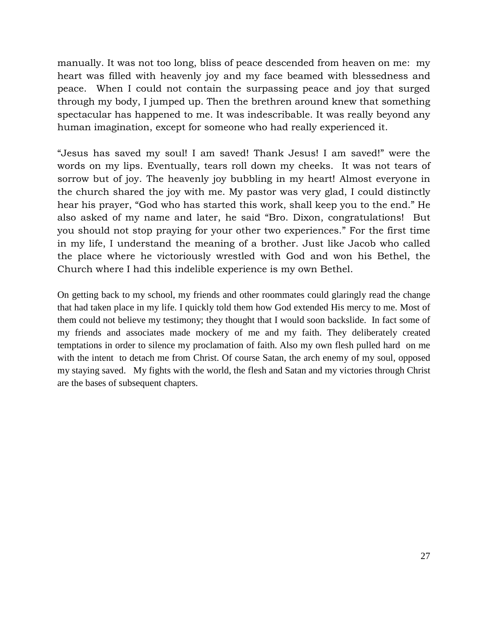manually. It was not too long, bliss of peace descended from heaven on me: my heart was filled with heavenly joy and my face beamed with blessedness and peace. When I could not contain the surpassing peace and joy that surged through my body, I jumped up. Then the brethren around knew that something spectacular has happened to me. It was indescribable. It was really beyond any human imagination, except for someone who had really experienced it.

"Jesus has saved my soul! I am saved! Thank Jesus! I am saved!" were the words on my lips. Eventually, tears roll down my cheeks. It was not tears of sorrow but of joy. The heavenly joy bubbling in my heart! Almost everyone in the church shared the joy with me. My pastor was very glad, I could distinctly hear his prayer, "God who has started this work, shall keep you to the end." He also asked of my name and later, he said "Bro. Dixon, congratulations! But you should not stop praying for your other two experiences." For the first time in my life, I understand the meaning of a brother. Just like Jacob who called the place where he victoriously wrestled with God and won his Bethel, the Church where I had this indelible experience is my own Bethel.

On getting back to my school, my friends and other roommates could glaringly read the change that had taken place in my life. I quickly told them how God extended His mercy to me. Most of them could not believe my testimony; they thought that I would soon backslide. In fact some of my friends and associates made mockery of me and my faith. They deliberately created temptations in order to silence my proclamation of faith. Also my own flesh pulled hard on me with the intent to detach me from Christ. Of course Satan, the arch enemy of my soul, opposed my staying saved. My fights with the world, the flesh and Satan and my victories through Christ are the bases of subsequent chapters.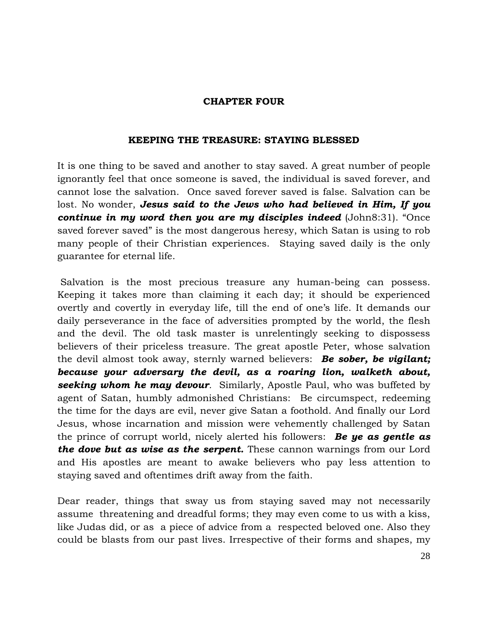### CHAPTER FOUR

### KEEPING THE TREASURE: STAYING BLESSED

It is one thing to be saved and another to stay saved. A great number of people ignorantly feel that once someone is saved, the individual is saved forever, and cannot lose the salvation. Once saved forever saved is false. Salvation can be lost. No wonder, Jesus said to the Jews who had believed in Him, If you continue in my word then you are my disciples indeed (John8:31). "Once saved forever saved" is the most dangerous heresy, which Satan is using to rob many people of their Christian experiences. Staying saved daily is the only guarantee for eternal life.

 Salvation is the most precious treasure any human-being can possess. Keeping it takes more than claiming it each day; it should be experienced overtly and covertly in everyday life, till the end of one's life. It demands our daily perseverance in the face of adversities prompted by the world, the flesh and the devil. The old task master is unrelentingly seeking to dispossess believers of their priceless treasure. The great apostle Peter, whose salvation the devil almost took away, sternly warned believers: **Be sober, be vigilant;** because your adversary the devil, as a roaring lion, walketh about, seeking whom he may devour. Similarly, Apostle Paul, who was buffeted by agent of Satan, humbly admonished Christians: Be circumspect, redeeming the time for the days are evil, never give Satan a foothold. And finally our Lord Jesus, whose incarnation and mission were vehemently challenged by Satan the prince of corrupt world, nicely alerted his followers: **Be ye as gentle as** the dove but as wise as the serpent. These cannon warnings from our Lord and His apostles are meant to awake believers who pay less attention to staying saved and oftentimes drift away from the faith.

Dear reader, things that sway us from staying saved may not necessarily assume threatening and dreadful forms; they may even come to us with a kiss, like Judas did, or as a piece of advice from a respected beloved one. Also they could be blasts from our past lives. Irrespective of their forms and shapes, my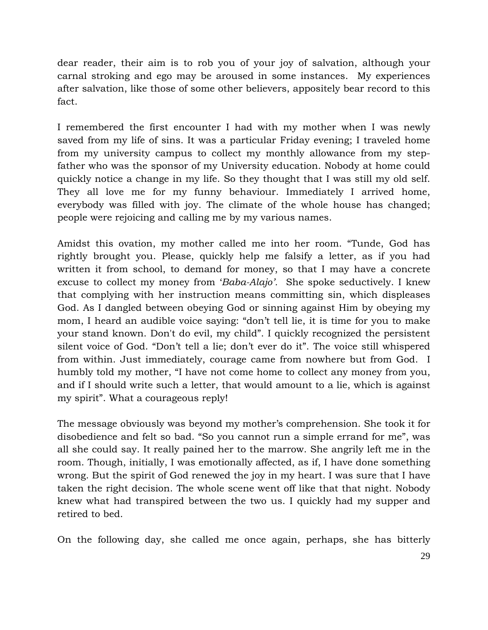dear reader, their aim is to rob you of your joy of salvation, although your carnal stroking and ego may be aroused in some instances. My experiences after salvation, like those of some other believers, appositely bear record to this fact.

I remembered the first encounter I had with my mother when I was newly saved from my life of sins. It was a particular Friday evening; I traveled home from my university campus to collect my monthly allowance from my stepfather who was the sponsor of my University education. Nobody at home could quickly notice a change in my life. So they thought that I was still my old self. They all love me for my funny behaviour. Immediately I arrived home, everybody was filled with joy. The climate of the whole house has changed; people were rejoicing and calling me by my various names.

Amidst this ovation, my mother called me into her room. "Tunde, God has rightly brought you. Please, quickly help me falsify a letter, as if you had written it from school, to demand for money, so that I may have a concrete excuse to collect my money from 'Baba-Alajo'. She spoke seductively. I knew that complying with her instruction means committing sin, which displeases God. As I dangled between obeying God or sinning against Him by obeying my mom, I heard an audible voice saying: "don't tell lie, it is time for you to make your stand known. Don't do evil, my child". I quickly recognized the persistent silent voice of God. "Don't tell a lie; don't ever do it". The voice still whispered from within. Just immediately, courage came from nowhere but from God. I humbly told my mother, "I have not come home to collect any money from you, and if I should write such a letter, that would amount to a lie, which is against my spirit". What a courageous reply!

The message obviously was beyond my mother's comprehension. She took it for disobedience and felt so bad. "So you cannot run a simple errand for me", was all she could say. It really pained her to the marrow. She angrily left me in the room. Though, initially, I was emotionally affected, as if, I have done something wrong. But the spirit of God renewed the joy in my heart. I was sure that I have taken the right decision. The whole scene went off like that that night. Nobody knew what had transpired between the two us. I quickly had my supper and retired to bed.

On the following day, she called me once again, perhaps, she has bitterly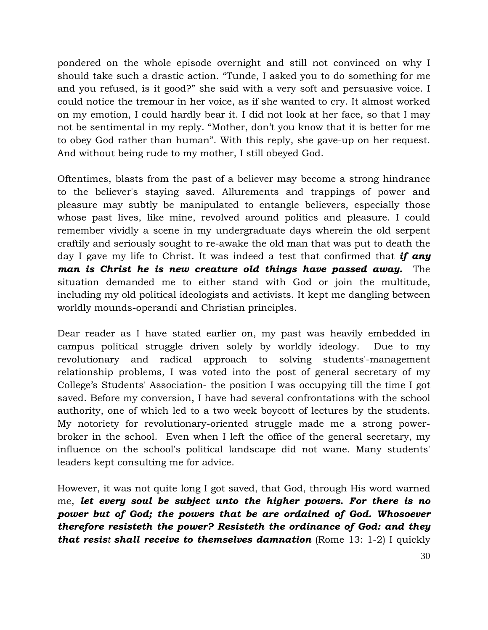pondered on the whole episode overnight and still not convinced on why I should take such a drastic action. "Tunde, I asked you to do something for me and you refused, is it good?" she said with a very soft and persuasive voice. I could notice the tremour in her voice, as if she wanted to cry. It almost worked on my emotion, I could hardly bear it. I did not look at her face, so that I may not be sentimental in my reply. "Mother, don't you know that it is better for me to obey God rather than human". With this reply, she gave-up on her request. And without being rude to my mother, I still obeyed God.

Oftentimes, blasts from the past of a believer may become a strong hindrance to the believer's staying saved. Allurements and trappings of power and pleasure may subtly be manipulated to entangle believers, especially those whose past lives, like mine, revolved around politics and pleasure. I could remember vividly a scene in my undergraduate days wherein the old serpent craftily and seriously sought to re-awake the old man that was put to death the day I gave my life to Christ. It was indeed a test that confirmed that **if any** man is Christ he is new creature old things have passed away. The situation demanded me to either stand with God or join the multitude, including my old political ideologists and activists. It kept me dangling between worldly mounds-operandi and Christian principles.

Dear reader as I have stated earlier on, my past was heavily embedded in campus political struggle driven solely by worldly ideology. Due to my revolutionary and radical approach to solving students'-management relationship problems, I was voted into the post of general secretary of my College's Students' Association- the position I was occupying till the time I got saved. Before my conversion, I have had several confrontations with the school authority, one of which led to a two week boycott of lectures by the students. My notoriety for revolutionary-oriented struggle made me a strong powerbroker in the school. Even when I left the office of the general secretary, my influence on the school's political landscape did not wane. Many students' leaders kept consulting me for advice.

However, it was not quite long I got saved, that God, through His word warned me, let every soul be subject unto the higher powers. For there is no power but of God; the powers that be are ordained of God. Whosoever therefore resisteth the power? Resisteth the ordinance of God: and they that resist shall receive to themselves damnation (Rome  $13: 1-2$ ) I quickly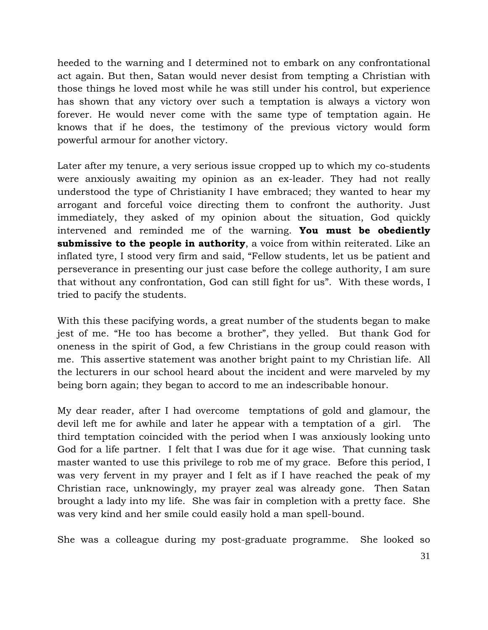heeded to the warning and I determined not to embark on any confrontational act again. But then, Satan would never desist from tempting a Christian with those things he loved most while he was still under his control, but experience has shown that any victory over such a temptation is always a victory won forever. He would never come with the same type of temptation again. He knows that if he does, the testimony of the previous victory would form powerful armour for another victory.

Later after my tenure, a very serious issue cropped up to which my co-students were anxiously awaiting my opinion as an ex-leader. They had not really understood the type of Christianity I have embraced; they wanted to hear my arrogant and forceful voice directing them to confront the authority. Just immediately, they asked of my opinion about the situation, God quickly intervened and reminded me of the warning. You must be obediently submissive to the people in authority, a voice from within reiterated. Like an inflated tyre, I stood very firm and said, "Fellow students, let us be patient and perseverance in presenting our just case before the college authority, I am sure that without any confrontation, God can still fight for us". With these words, I tried to pacify the students.

With this these pacifying words, a great number of the students began to make jest of me. "He too has become a brother", they yelled. But thank God for oneness in the spirit of God, a few Christians in the group could reason with me. This assertive statement was another bright paint to my Christian life. All the lecturers in our school heard about the incident and were marveled by my being born again; they began to accord to me an indescribable honour.

My dear reader, after I had overcome temptations of gold and glamour, the devil left me for awhile and later he appear with a temptation of a girl. The third temptation coincided with the period when I was anxiously looking unto God for a life partner. I felt that I was due for it age wise. That cunning task master wanted to use this privilege to rob me of my grace. Before this period, I was very fervent in my prayer and I felt as if I have reached the peak of my Christian race, unknowingly, my prayer zeal was already gone. Then Satan brought a lady into my life. She was fair in completion with a pretty face. She was very kind and her smile could easily hold a man spell-bound.

She was a colleague during my post-graduate programme. She looked so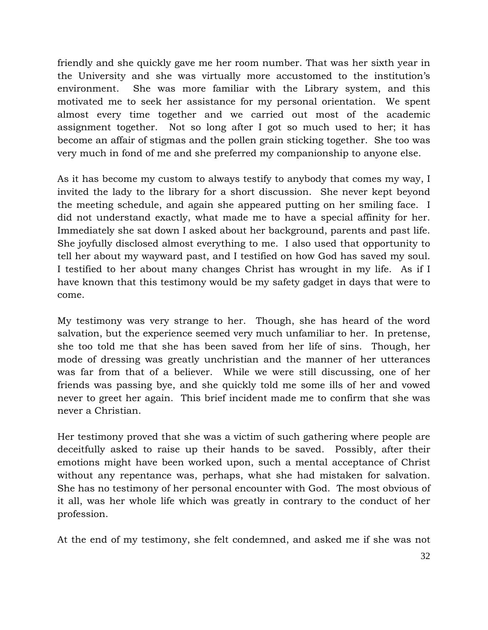friendly and she quickly gave me her room number. That was her sixth year in the University and she was virtually more accustomed to the institution's environment. She was more familiar with the Library system, and this motivated me to seek her assistance for my personal orientation. We spent almost every time together and we carried out most of the academic assignment together. Not so long after I got so much used to her; it has become an affair of stigmas and the pollen grain sticking together. She too was very much in fond of me and she preferred my companionship to anyone else.

As it has become my custom to always testify to anybody that comes my way, I invited the lady to the library for a short discussion. She never kept beyond the meeting schedule, and again she appeared putting on her smiling face. I did not understand exactly, what made me to have a special affinity for her. Immediately she sat down I asked about her background, parents and past life. She joyfully disclosed almost everything to me. I also used that opportunity to tell her about my wayward past, and I testified on how God has saved my soul. I testified to her about many changes Christ has wrought in my life. As if I have known that this testimony would be my safety gadget in days that were to come.

My testimony was very strange to her. Though, she has heard of the word salvation, but the experience seemed very much unfamiliar to her. In pretense, she too told me that she has been saved from her life of sins. Though, her mode of dressing was greatly unchristian and the manner of her utterances was far from that of a believer. While we were still discussing, one of her friends was passing bye, and she quickly told me some ills of her and vowed never to greet her again. This brief incident made me to confirm that she was never a Christian.

Her testimony proved that she was a victim of such gathering where people are deceitfully asked to raise up their hands to be saved. Possibly, after their emotions might have been worked upon, such a mental acceptance of Christ without any repentance was, perhaps, what she had mistaken for salvation. She has no testimony of her personal encounter with God. The most obvious of it all, was her whole life which was greatly in contrary to the conduct of her profession.

At the end of my testimony, she felt condemned, and asked me if she was not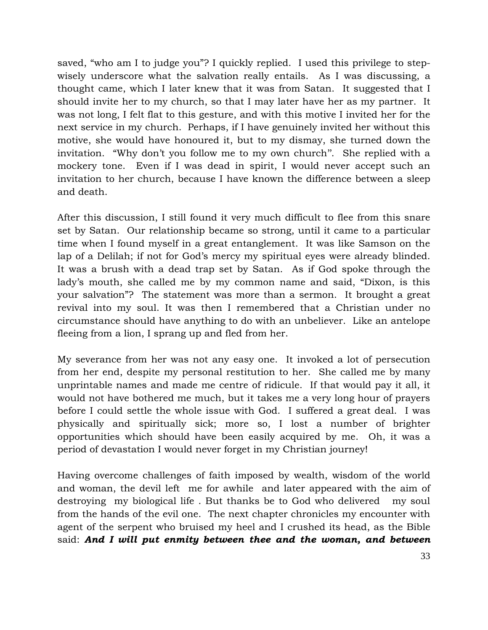saved, "who am I to judge you"? I quickly replied. I used this privilege to stepwisely underscore what the salvation really entails. As I was discussing, a thought came, which I later knew that it was from Satan. It suggested that I should invite her to my church, so that I may later have her as my partner. It was not long, I felt flat to this gesture, and with this motive I invited her for the next service in my church. Perhaps, if I have genuinely invited her without this motive, she would have honoured it, but to my dismay, she turned down the invitation. "Why don't you follow me to my own church''. She replied with a mockery tone. Even if I was dead in spirit, I would never accept such an invitation to her church, because I have known the difference between a sleep and death.

After this discussion, I still found it very much difficult to flee from this snare set by Satan. Our relationship became so strong, until it came to a particular time when I found myself in a great entanglement. It was like Samson on the lap of a Delilah; if not for God's mercy my spiritual eyes were already blinded. It was a brush with a dead trap set by Satan. As if God spoke through the lady's mouth, she called me by my common name and said, "Dixon, is this your salvation"? The statement was more than a sermon. It brought a great revival into my soul. It was then I remembered that a Christian under no circumstance should have anything to do with an unbeliever. Like an antelope fleeing from a lion, I sprang up and fled from her.

My severance from her was not any easy one. It invoked a lot of persecution from her end, despite my personal restitution to her. She called me by many unprintable names and made me centre of ridicule. If that would pay it all, it would not have bothered me much, but it takes me a very long hour of prayers before I could settle the whole issue with God. I suffered a great deal. I was physically and spiritually sick; more so, I lost a number of brighter opportunities which should have been easily acquired by me. Oh, it was a period of devastation I would never forget in my Christian journey!

Having overcome challenges of faith imposed by wealth, wisdom of the world and woman, the devil left me for awhile and later appeared with the aim of destroying my biological life . But thanks be to God who delivered my soul from the hands of the evil one. The next chapter chronicles my encounter with agent of the serpent who bruised my heel and I crushed its head, as the Bible said: And I will put enmity between thee and the woman, and between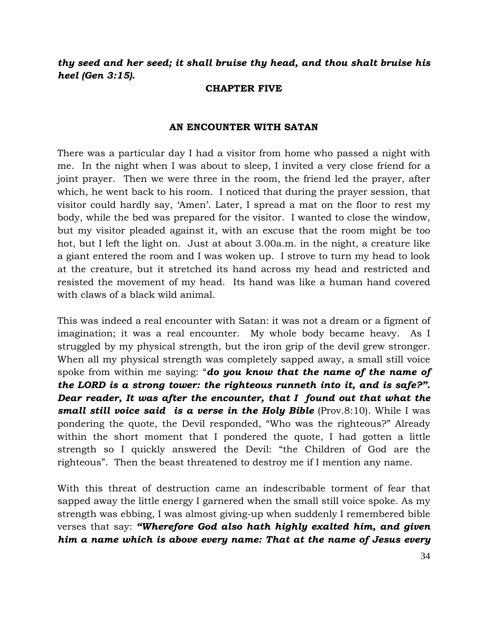thy seed and her seed; it shall bruise thy head, and thou shalt bruise his heel (Gen 3:15).

### CHAPTER FIVE

### AN ENCOUNTER WITH SATAN

There was a particular day I had a visitor from home who passed a night with me. In the night when I was about to sleep, I invited a very close friend for a joint prayer. Then we were three in the room, the friend led the prayer, after which, he went back to his room. I noticed that during the prayer session, that visitor could hardly say, 'Amen'. Later, I spread a mat on the floor to rest my body, while the bed was prepared for the visitor. I wanted to close the window, but my visitor pleaded against it, with an excuse that the room might be too hot, but I left the light on. Just at about 3.00a.m. in the night, a creature like a giant entered the room and I was woken up. I strove to turn my head to look at the creature, but it stretched its hand across my head and restricted and resisted the movement of my head. Its hand was like a human hand covered with claws of a black wild animal.

This was indeed a real encounter with Satan: it was not a dream or a figment of imagination; it was a real encounter. My whole body became heavy. As I struggled by my physical strength, but the iron grip of the devil grew stronger. When all my physical strength was completely sapped away, a small still voice spoke from within me saying: "**do you know that the name of the name of** the LORD is a strong tower: the righteous runneth into it, and is safe?". Dear reader, It was after the encounter, that I found out that what the **small still voice said is a verse in the Holy Bible** (Prov.8:10). While I was pondering the quote, the Devil responded, "Who was the righteous?" Already within the short moment that I pondered the quote, I had gotten a little strength so I quickly answered the Devil: "the Children of God are the righteous". Then the beast threatened to destroy me if I mention any name.

With this threat of destruction came an indescribable torment of fear that sapped away the little energy I garnered when the small still voice spoke. As my strength was ebbing, I was almost giving-up when suddenly I remembered bible verses that say: "Wherefore God also hath highly exalted him, and given him a name which is above every name: That at the name of Jesus every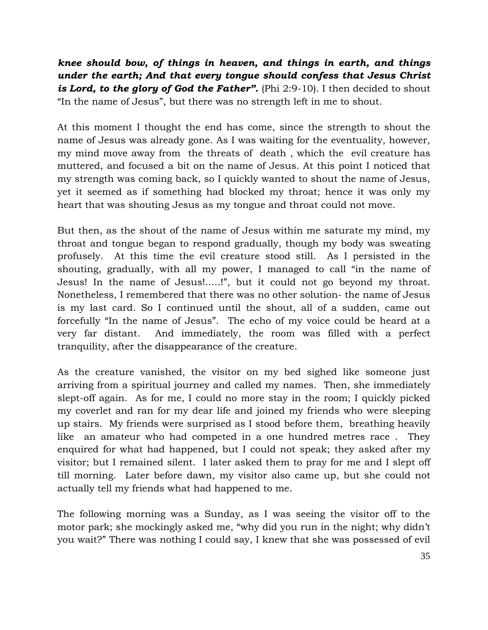knee should bow, of things in heaven, and things in earth, and things under the earth; And that every tongue should confess that Jesus Christ is Lord, to the glory of God the Father". (Phi  $2:9-10$ ). I then decided to shout "In the name of Jesus", but there was no strength left in me to shout.

At this moment I thought the end has come, since the strength to shout the name of Jesus was already gone. As I was waiting for the eventuality, however, my mind move away from the threats of death , which the evil creature has muttered, and focused a bit on the name of Jesus. At this point I noticed that my strength was coming back, so I quickly wanted to shout the name of Jesus, yet it seemed as if something had blocked my throat; hence it was only my heart that was shouting Jesus as my tongue and throat could not move.

But then, as the shout of the name of Jesus within me saturate my mind, my throat and tongue began to respond gradually, though my body was sweating profusely. At this time the evil creature stood still. As I persisted in the shouting, gradually, with all my power, I managed to call "in the name of Jesus! In the name of Jesus!.....!", but it could not go beyond my throat. Nonetheless, I remembered that there was no other solution- the name of Jesus is my last card. So I continued until the shout, all of a sudden, came out forcefully "In the name of Jesus". The echo of my voice could be heard at a very far distant. And immediately, the room was filled with a perfect tranquility, after the disappearance of the creature.

As the creature vanished, the visitor on my bed sighed like someone just arriving from a spiritual journey and called my names. Then, she immediately slept-off again. As for me, I could no more stay in the room; I quickly picked my coverlet and ran for my dear life and joined my friends who were sleeping up stairs. My friends were surprised as I stood before them, breathing heavily like an amateur who had competed in a one hundred metres race . They enquired for what had happened, but I could not speak; they asked after my visitor; but I remained silent. I later asked them to pray for me and I slept off till morning. Later before dawn, my visitor also came up, but she could not actually tell my friends what had happened to me.

The following morning was a Sunday, as I was seeing the visitor off to the motor park; she mockingly asked me, "why did you run in the night; why didn't you wait?" There was nothing I could say, I knew that she was possessed of evil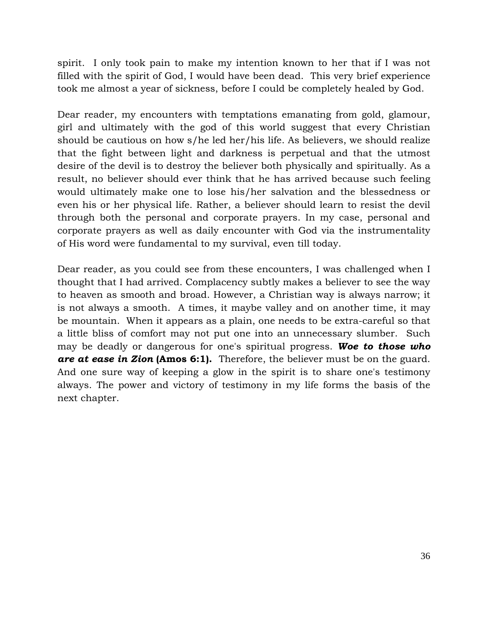spirit. I only took pain to make my intention known to her that if I was not filled with the spirit of God, I would have been dead. This very brief experience took me almost a year of sickness, before I could be completely healed by God.

Dear reader, my encounters with temptations emanating from gold, glamour, girl and ultimately with the god of this world suggest that every Christian should be cautious on how s/he led her/his life. As believers, we should realize that the fight between light and darkness is perpetual and that the utmost desire of the devil is to destroy the believer both physically and spiritually. As a result, no believer should ever think that he has arrived because such feeling would ultimately make one to lose his/her salvation and the blessedness or even his or her physical life. Rather, a believer should learn to resist the devil through both the personal and corporate prayers. In my case, personal and corporate prayers as well as daily encounter with God via the instrumentality of His word were fundamental to my survival, even till today.

Dear reader, as you could see from these encounters, I was challenged when I thought that I had arrived. Complacency subtly makes a believer to see the way to heaven as smooth and broad. However, a Christian way is always narrow; it is not always a smooth. A times, it maybe valley and on another time, it may be mountain. When it appears as a plain, one needs to be extra-careful so that a little bliss of comfort may not put one into an unnecessary slumber. Such may be deadly or dangerous for one's spiritual progress. Woe to those who are at ease in Zion (Amos 6:1). Therefore, the believer must be on the guard. And one sure way of keeping a glow in the spirit is to share one's testimony always. The power and victory of testimony in my life forms the basis of the next chapter.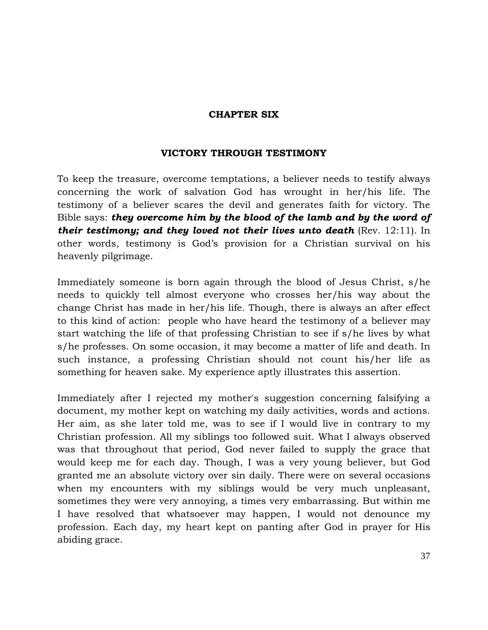### CHAPTER SIX

# VICTORY THROUGH TESTIMONY

To keep the treasure, overcome temptations, a believer needs to testify always concerning the work of salvation God has wrought in her/his life. The testimony of a believer scares the devil and generates faith for victory. The Bible says: they overcome him by the blood of the lamb and by the word of their testimony; and they loved not their lives unto death  $(Rev. 12:11)$ . In other words, testimony is God's provision for a Christian survival on his heavenly pilgrimage.

Immediately someone is born again through the blood of Jesus Christ, s/he needs to quickly tell almost everyone who crosses her/his way about the change Christ has made in her/his life. Though, there is always an after effect to this kind of action: people who have heard the testimony of a believer may start watching the life of that professing Christian to see if s/he lives by what s/he professes. On some occasion, it may become a matter of life and death. In such instance, a professing Christian should not count his/her life as something for heaven sake. My experience aptly illustrates this assertion.

Immediately after I rejected my mother's suggestion concerning falsifying a document, my mother kept on watching my daily activities, words and actions. Her aim, as she later told me, was to see if I would live in contrary to my Christian profession. All my siblings too followed suit. What I always observed was that throughout that period, God never failed to supply the grace that would keep me for each day. Though, I was a very young believer, but God granted me an absolute victory over sin daily. There were on several occasions when my encounters with my siblings would be very much unpleasant, sometimes they were very annoying, a times very embarrassing. But within me I have resolved that whatsoever may happen, I would not denounce my profession. Each day, my heart kept on panting after God in prayer for His abiding grace.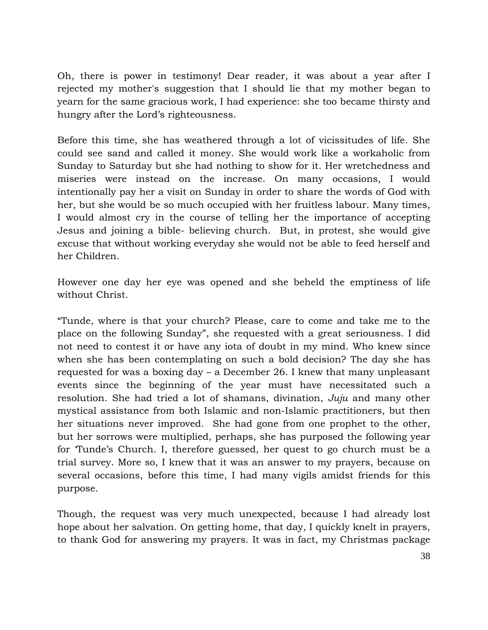Oh, there is power in testimony! Dear reader, it was about a year after I rejected my mother's suggestion that I should lie that my mother began to yearn for the same gracious work, I had experience: she too became thirsty and hungry after the Lord's righteousness.

Before this time, she has weathered through a lot of vicissitudes of life. She could see sand and called it money. She would work like a workaholic from Sunday to Saturday but she had nothing to show for it. Her wretchedness and miseries were instead on the increase. On many occasions, I would intentionally pay her a visit on Sunday in order to share the words of God with her, but she would be so much occupied with her fruitless labour. Many times, I would almost cry in the course of telling her the importance of accepting Jesus and joining a bible- believing church. But, in protest, she would give excuse that without working everyday she would not be able to feed herself and her Children.

However one day her eye was opened and she beheld the emptiness of life without Christ.

"Tunde, where is that your church? Please, care to come and take me to the place on the following Sunday", she requested with a great seriousness. I did not need to contest it or have any iota of doubt in my mind. Who knew since when she has been contemplating on such a bold decision? The day she has requested for was a boxing day – a December 26. I knew that many unpleasant events since the beginning of the year must have necessitated such a resolution. She had tried a lot of shamans, divination, Juju and many other mystical assistance from both Islamic and non-Islamic practitioners, but then her situations never improved. She had gone from one prophet to the other, but her sorrows were multiplied, perhaps, she has purposed the following year for 'Tunde's Church. I, therefore guessed, her quest to go church must be a trial survey. More so, I knew that it was an answer to my prayers, because on several occasions, before this time, I had many vigils amidst friends for this purpose.

Though, the request was very much unexpected, because I had already lost hope about her salvation. On getting home, that day, I quickly knelt in prayers, to thank God for answering my prayers. It was in fact, my Christmas package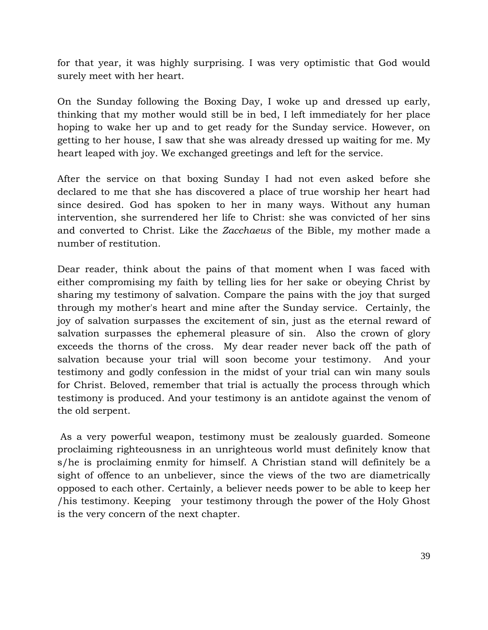for that year, it was highly surprising. I was very optimistic that God would surely meet with her heart.

On the Sunday following the Boxing Day, I woke up and dressed up early, thinking that my mother would still be in bed, I left immediately for her place hoping to wake her up and to get ready for the Sunday service. However, on getting to her house, I saw that she was already dressed up waiting for me. My heart leaped with joy. We exchanged greetings and left for the service.

After the service on that boxing Sunday I had not even asked before she declared to me that she has discovered a place of true worship her heart had since desired. God has spoken to her in many ways. Without any human intervention, she surrendered her life to Christ: she was convicted of her sins and converted to Christ. Like the Zacchaeus of the Bible, my mother made a number of restitution.

Dear reader, think about the pains of that moment when I was faced with either compromising my faith by telling lies for her sake or obeying Christ by sharing my testimony of salvation. Compare the pains with the joy that surged through my mother's heart and mine after the Sunday service. Certainly, the joy of salvation surpasses the excitement of sin, just as the eternal reward of salvation surpasses the ephemeral pleasure of sin. Also the crown of glory exceeds the thorns of the cross. My dear reader never back off the path of salvation because your trial will soon become your testimony. And your testimony and godly confession in the midst of your trial can win many souls for Christ. Beloved, remember that trial is actually the process through which testimony is produced. And your testimony is an antidote against the venom of the old serpent.

 As a very powerful weapon, testimony must be zealously guarded. Someone proclaiming righteousness in an unrighteous world must definitely know that s/he is proclaiming enmity for himself. A Christian stand will definitely be a sight of offence to an unbeliever, since the views of the two are diametrically opposed to each other. Certainly, a believer needs power to be able to keep her /his testimony. Keeping your testimony through the power of the Holy Ghost is the very concern of the next chapter.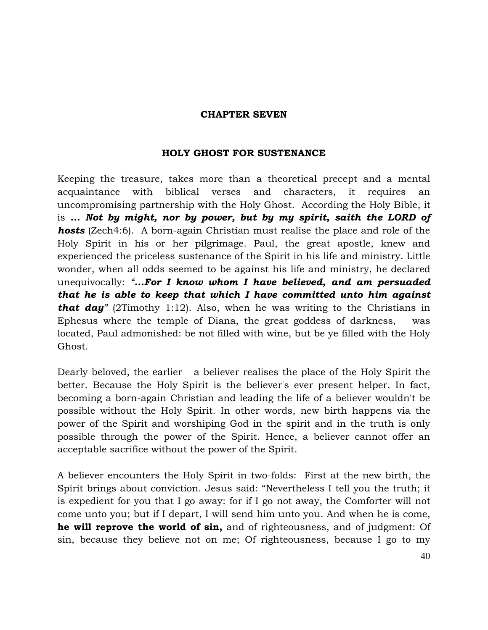### CHAPTER SEVEN

# HOLY GHOST FOR SUSTENANCE

Keeping the treasure, takes more than a theoretical precept and a mental acquaintance with biblical verses and characters, it requires an uncompromising partnership with the Holy Ghost. According the Holy Bible, it is ... Not by might, nor by power, but by my spirit, saith the LORD of **hosts** (Zech4:6). A born-again Christian must realise the place and role of the Holy Spirit in his or her pilgrimage. Paul, the great apostle, knew and experienced the priceless sustenance of the Spirit in his life and ministry. Little wonder, when all odds seemed to be against his life and ministry, he declared unequivocally: "...For I know whom I have believed, and am persuaded that he is able to keep that which I have committed unto him against **that day**" (2Timothy 1:12). Also, when he was writing to the Christians in Ephesus where the temple of Diana, the great goddess of darkness, was located, Paul admonished: be not filled with wine, but be ye filled with the Holy Ghost.

Dearly beloved, the earlier a believer realises the place of the Holy Spirit the better. Because the Holy Spirit is the believer's ever present helper. In fact, becoming a born-again Christian and leading the life of a believer wouldn't be possible without the Holy Spirit. In other words, new birth happens via the power of the Spirit and worshiping God in the spirit and in the truth is only possible through the power of the Spirit. Hence, a believer cannot offer an acceptable sacrifice without the power of the Spirit.

A believer encounters the Holy Spirit in two-folds: First at the new birth, the Spirit brings about conviction. Jesus said: "Nevertheless I tell you the truth; it is expedient for you that I go away: for if I go not away, the Comforter will not come unto you; but if I depart, I will send him unto you. And when he is come, he will reprove the world of sin, and of righteousness, and of judgment: Of sin, because they believe not on me; Of righteousness, because I go to my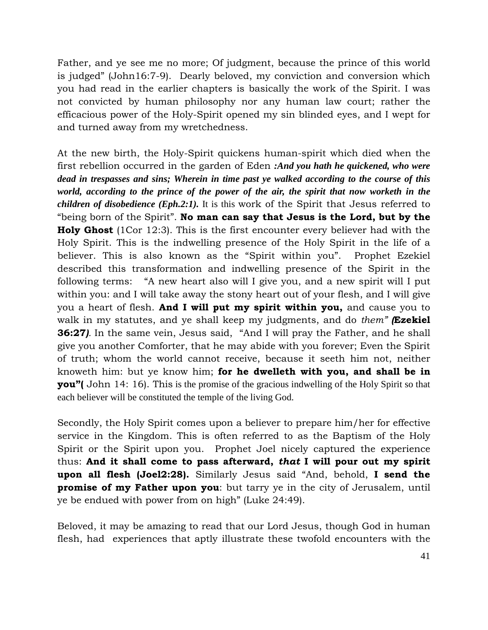Father, and ye see me no more; Of judgment, because the prince of this world is judged" (John16:7-9). Dearly beloved, my conviction and conversion which you had read in the earlier chapters is basically the work of the Spirit. I was not convicted by human philosophy nor any human law court; rather the efficacious power of the Holy-Spirit opened my sin blinded eyes, and I wept for and turned away from my wretchedness.

At the new birth, the Holy-Spirit quickens human-spirit which died when the first rebellion occurred in the garden of Eden *:And you hath he quickened, who were dead in trespasses and sins; Wherein in time past ye walked according to the course of this world, according to the prince of the power of the air, the spirit that now worketh in the children of disobedience (Eph.2:1).* It is this work of the Spirit that Jesus referred to "being born of the Spirit". No man can say that Jesus is the Lord, but by the **Holy Ghost** (1Cor 12:3). This is the first encounter every believer had with the Holy Spirit. This is the indwelling presence of the Holy Spirit in the life of a believer. This is also known as the "Spirit within you". Prophet Ezekiel described this transformation and indwelling presence of the Spirit in the following terms: "A new heart also will I give you, and a new spirit will I put within you: and I will take away the stony heart out of your flesh, and I will give you a heart of flesh. And I will put my spirit within you, and cause you to walk in my statutes, and ye shall keep my judgments, and do them" **(Ezekiel**) 36:27). In the same vein, Jesus said, "And I will pray the Father, and he shall give you another Comforter, that he may abide with you forever; Even the Spirit of truth; whom the world cannot receive, because it seeth him not, neither knoweth him: but ye know him; for he dwelleth with you, and shall be in **you"** John 14: 16). This is the promise of the gracious indwelling of the Holy Spirit so that each believer will be constituted the temple of the living God.

Secondly, the Holy Spirit comes upon a believer to prepare him/her for effective service in the Kingdom. This is often referred to as the Baptism of the Holy Spirit or the Spirit upon you. Prophet Joel nicely captured the experience thus: And it shall come to pass afterward, that I will pour out my spirit upon all flesh (Joel2:28). Similarly Jesus said "And, behold, I send the **promise of my Father upon you**: but tarry ye in the city of Jerusalem, until ye be endued with power from on high" (Luke 24:49).

Beloved, it may be amazing to read that our Lord Jesus, though God in human flesh, had experiences that aptly illustrate these twofold encounters with the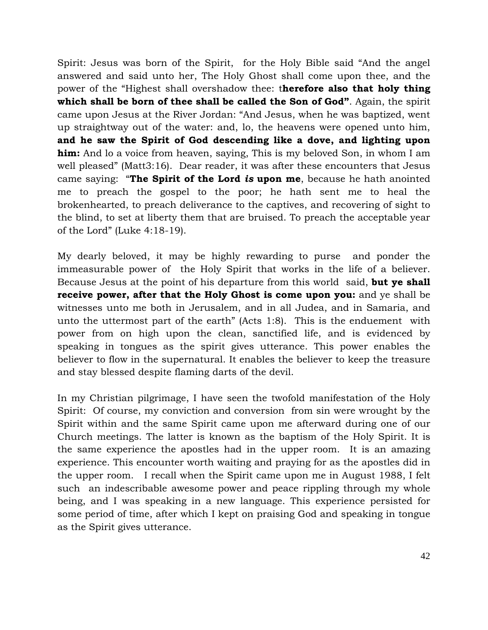Spirit: Jesus was born of the Spirit, for the Holy Bible said "And the angel answered and said unto her, The Holy Ghost shall come upon thee, and the power of the "Highest shall overshadow thee: therefore also that holy thing which shall be born of thee shall be called the Son of God". Again, the spirit came upon Jesus at the River Jordan: "And Jesus, when he was baptized, went up straightway out of the water: and, lo, the heavens were opened unto him, and he saw the Spirit of God descending like a dove, and lighting upon him: And lo a voice from heaven, saying, This is my beloved Son, in whom I am well pleased" (Matt3:16). Dear reader, it was after these encounters that Jesus came saying: "The Spirit of the Lord is upon me, because he hath anointed me to preach the gospel to the poor; he hath sent me to heal the brokenhearted, to preach deliverance to the captives, and recovering of sight to the blind, to set at liberty them that are bruised. To preach the acceptable year of the Lord" (Luke 4:18-19).

My dearly beloved, it may be highly rewarding to purse and ponder the immeasurable power of the Holy Spirit that works in the life of a believer. Because Jesus at the point of his departure from this world said, but ye shall receive power, after that the Holy Ghost is come upon you: and ye shall be witnesses unto me both in Jerusalem, and in all Judea, and in Samaria, and unto the uttermost part of the earth" (Acts 1:8). This is the enduement with power from on high upon the clean, sanctified life, and is evidenced by speaking in tongues as the spirit gives utterance. This power enables the believer to flow in the supernatural. It enables the believer to keep the treasure and stay blessed despite flaming darts of the devil.

In my Christian pilgrimage, I have seen the twofold manifestation of the Holy Spirit: Of course, my conviction and conversion from sin were wrought by the Spirit within and the same Spirit came upon me afterward during one of our Church meetings. The latter is known as the baptism of the Holy Spirit. It is the same experience the apostles had in the upper room. It is an amazing experience. This encounter worth waiting and praying for as the apostles did in the upper room. I recall when the Spirit came upon me in August 1988, I felt such an indescribable awesome power and peace rippling through my whole being, and I was speaking in a new language. This experience persisted for some period of time, after which I kept on praising God and speaking in tongue as the Spirit gives utterance.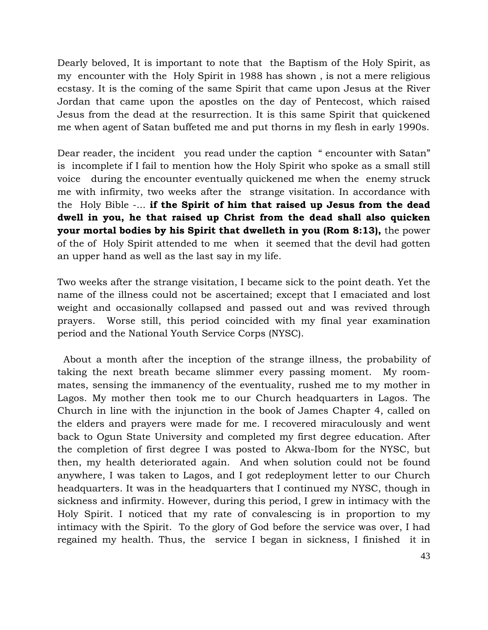Dearly beloved, It is important to note that the Baptism of the Holy Spirit, as my encounter with the Holy Spirit in 1988 has shown , is not a mere religious ecstasy. It is the coming of the same Spirit that came upon Jesus at the River Jordan that came upon the apostles on the day of Pentecost, which raised Jesus from the dead at the resurrection. It is this same Spirit that quickened me when agent of Satan buffeted me and put thorns in my flesh in early 1990s.

Dear reader, the incident you read under the caption "encounter with Satan" is incomplete if I fail to mention how the Holy Spirit who spoke as a small still voice during the encounter eventually quickened me when the enemy struck me with infirmity, two weeks after the strange visitation. In accordance with the Holy Bible -... if the Spirit of him that raised up Jesus from the dead dwell in you, he that raised up Christ from the dead shall also quicken your mortal bodies by his Spirit that dwelleth in you (Rom 8:13), the power of the of Holy Spirit attended to me when it seemed that the devil had gotten an upper hand as well as the last say in my life.

Two weeks after the strange visitation, I became sick to the point death. Yet the name of the illness could not be ascertained; except that I emaciated and lost weight and occasionally collapsed and passed out and was revived through prayers. Worse still, this period coincided with my final year examination period and the National Youth Service Corps (NYSC).

 About a month after the inception of the strange illness, the probability of taking the next breath became slimmer every passing moment. My roommates, sensing the immanency of the eventuality, rushed me to my mother in Lagos. My mother then took me to our Church headquarters in Lagos. The Church in line with the injunction in the book of James Chapter 4, called on the elders and prayers were made for me. I recovered miraculously and went back to Ogun State University and completed my first degree education. After the completion of first degree I was posted to Akwa-Ibom for the NYSC, but then, my health deteriorated again. And when solution could not be found anywhere, I was taken to Lagos, and I got redeployment letter to our Church headquarters. It was in the headquarters that I continued my NYSC, though in sickness and infirmity. However, during this period, I grew in intimacy with the Holy Spirit. I noticed that my rate of convalescing is in proportion to my intimacy with the Spirit. To the glory of God before the service was over, I had regained my health. Thus, the service I began in sickness, I finished it in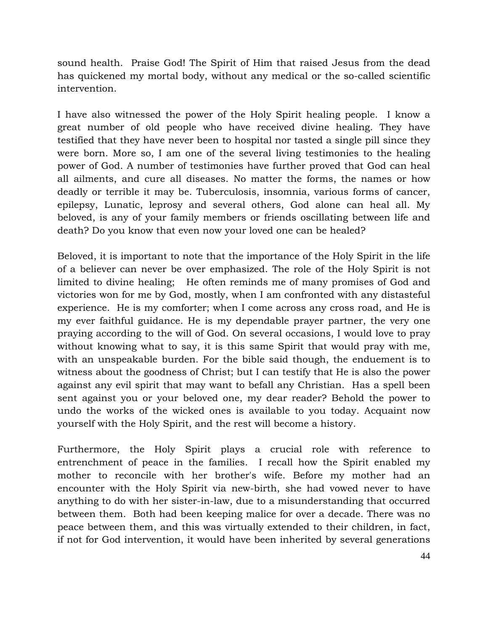sound health. Praise God! The Spirit of Him that raised Jesus from the dead has quickened my mortal body, without any medical or the so-called scientific intervention.

I have also witnessed the power of the Holy Spirit healing people. I know a great number of old people who have received divine healing. They have testified that they have never been to hospital nor tasted a single pill since they were born. More so, I am one of the several living testimonies to the healing power of God. A number of testimonies have further proved that God can heal all ailments, and cure all diseases. No matter the forms, the names or how deadly or terrible it may be. Tuberculosis, insomnia, various forms of cancer, epilepsy, Lunatic, leprosy and several others, God alone can heal all. My beloved, is any of your family members or friends oscillating between life and death? Do you know that even now your loved one can be healed?

Beloved, it is important to note that the importance of the Holy Spirit in the life of a believer can never be over emphasized. The role of the Holy Spirit is not limited to divine healing; He often reminds me of many promises of God and victories won for me by God, mostly, when I am confronted with any distasteful experience. He is my comforter; when I come across any cross road, and He is my ever faithful guidance. He is my dependable prayer partner, the very one praying according to the will of God. On several occasions, I would love to pray without knowing what to say, it is this same Spirit that would pray with me, with an unspeakable burden. For the bible said though, the enduement is to witness about the goodness of Christ; but I can testify that He is also the power against any evil spirit that may want to befall any Christian. Has a spell been sent against you or your beloved one, my dear reader? Behold the power to undo the works of the wicked ones is available to you today. Acquaint now yourself with the Holy Spirit, and the rest will become a history.

Furthermore, the Holy Spirit plays a crucial role with reference to entrenchment of peace in the families. I recall how the Spirit enabled my mother to reconcile with her brother's wife. Before my mother had an encounter with the Holy Spirit via new-birth, she had vowed never to have anything to do with her sister-in-law, due to a misunderstanding that occurred between them. Both had been keeping malice for over a decade. There was no peace between them, and this was virtually extended to their children, in fact, if not for God intervention, it would have been inherited by several generations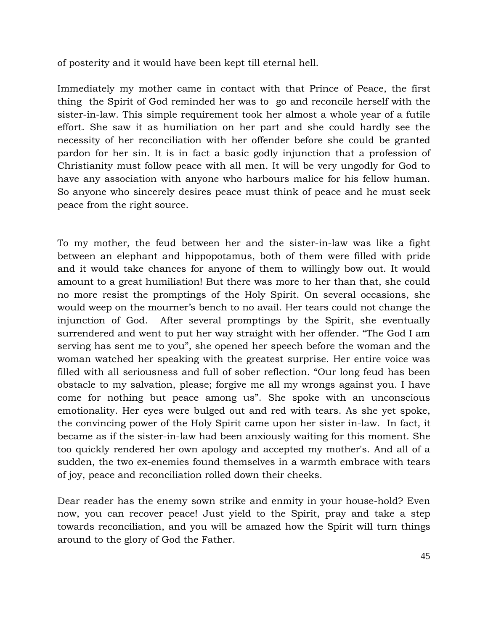of posterity and it would have been kept till eternal hell.

Immediately my mother came in contact with that Prince of Peace, the first thing the Spirit of God reminded her was to go and reconcile herself with the sister-in-law. This simple requirement took her almost a whole year of a futile effort. She saw it as humiliation on her part and she could hardly see the necessity of her reconciliation with her offender before she could be granted pardon for her sin. It is in fact a basic godly injunction that a profession of Christianity must follow peace with all men. It will be very ungodly for God to have any association with anyone who harbours malice for his fellow human. So anyone who sincerely desires peace must think of peace and he must seek peace from the right source.

To my mother, the feud between her and the sister-in-law was like a fight between an elephant and hippopotamus, both of them were filled with pride and it would take chances for anyone of them to willingly bow out. It would amount to a great humiliation! But there was more to her than that, she could no more resist the promptings of the Holy Spirit. On several occasions, she would weep on the mourner's bench to no avail. Her tears could not change the injunction of God. After several promptings by the Spirit, she eventually surrendered and went to put her way straight with her offender. "The God I am serving has sent me to you", she opened her speech before the woman and the woman watched her speaking with the greatest surprise. Her entire voice was filled with all seriousness and full of sober reflection. "Our long feud has been obstacle to my salvation, please; forgive me all my wrongs against you. I have come for nothing but peace among us". She spoke with an unconscious emotionality. Her eyes were bulged out and red with tears. As she yet spoke, the convincing power of the Holy Spirit came upon her sister in-law. In fact, it became as if the sister-in-law had been anxiously waiting for this moment. She too quickly rendered her own apology and accepted my mother's. And all of a sudden, the two ex-enemies found themselves in a warmth embrace with tears of joy, peace and reconciliation rolled down their cheeks.

Dear reader has the enemy sown strike and enmity in your house-hold? Even now, you can recover peace! Just yield to the Spirit, pray and take a step towards reconciliation, and you will be amazed how the Spirit will turn things around to the glory of God the Father.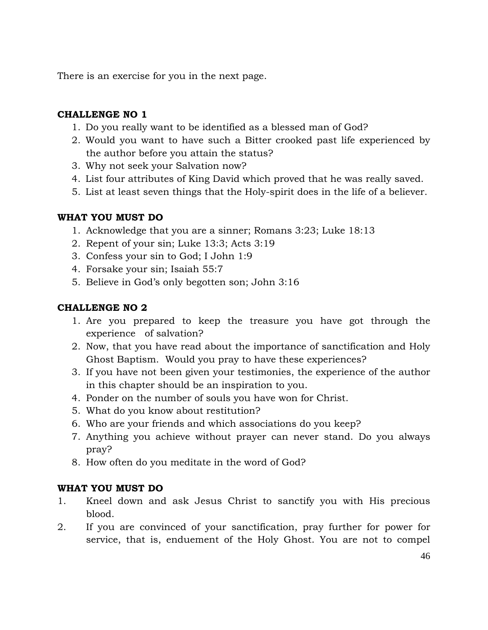There is an exercise for you in the next page.

# CHALLENGE NO 1

- 1. Do you really want to be identified as a blessed man of God?
- 2. Would you want to have such a Bitter crooked past life experienced by the author before you attain the status?
- 3. Why not seek your Salvation now?
- 4. List four attributes of King David which proved that he was really saved.
- 5. List at least seven things that the Holy-spirit does in the life of a believer.

# WHAT YOU MUST DO

- 1. Acknowledge that you are a sinner; Romans 3:23; Luke 18:13
- 2. Repent of your sin; Luke 13:3; Acts 3:19
- 3. Confess your sin to God; I John 1:9
- 4. Forsake your sin; Isaiah 55:7
- 5. Believe in God's only begotten son; John 3:16

# CHALLENGE NO 2

- 1. Are you prepared to keep the treasure you have got through the experience of salvation?
- 2. Now, that you have read about the importance of sanctification and Holy Ghost Baptism. Would you pray to have these experiences?
- 3. If you have not been given your testimonies, the experience of the author in this chapter should be an inspiration to you.
- 4. Ponder on the number of souls you have won for Christ.
- 5. What do you know about restitution?
- 6. Who are your friends and which associations do you keep?
- 7. Anything you achieve without prayer can never stand. Do you always pray?
- 8. How often do you meditate in the word of God?

# WHAT YOU MUST DO

- 1. Kneel down and ask Jesus Christ to sanctify you with His precious blood.
- 2. If you are convinced of your sanctification, pray further for power for service, that is, enduement of the Holy Ghost. You are not to compel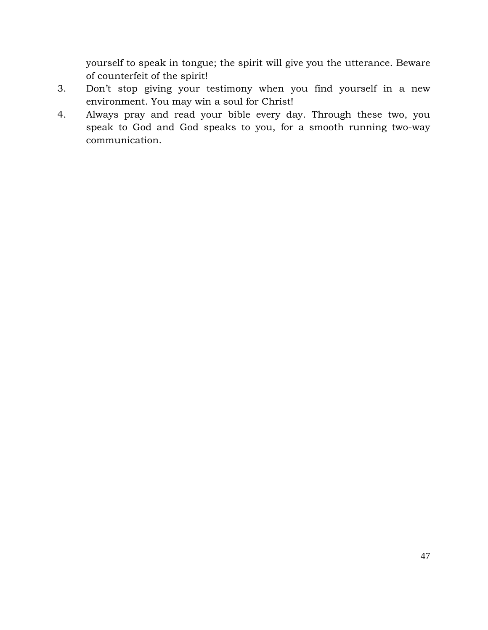yourself to speak in tongue; the spirit will give you the utterance. Beware of counterfeit of the spirit!

- 3. Don't stop giving your testimony when you find yourself in a new environment. You may win a soul for Christ!
- 4. Always pray and read your bible every day. Through these two, you speak to God and God speaks to you, for a smooth running two-way communication.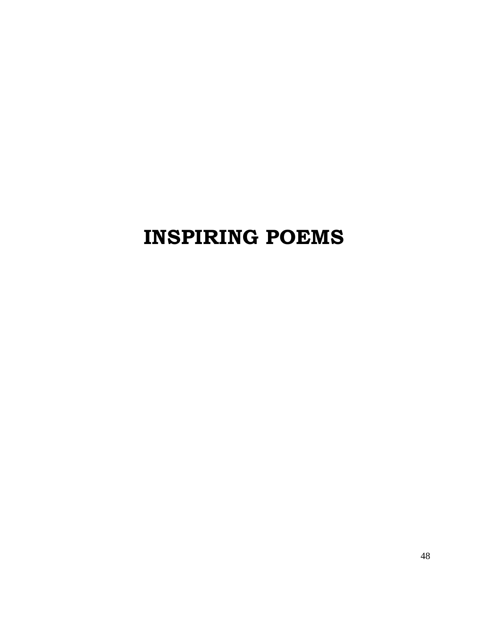# INSPIRING POEMS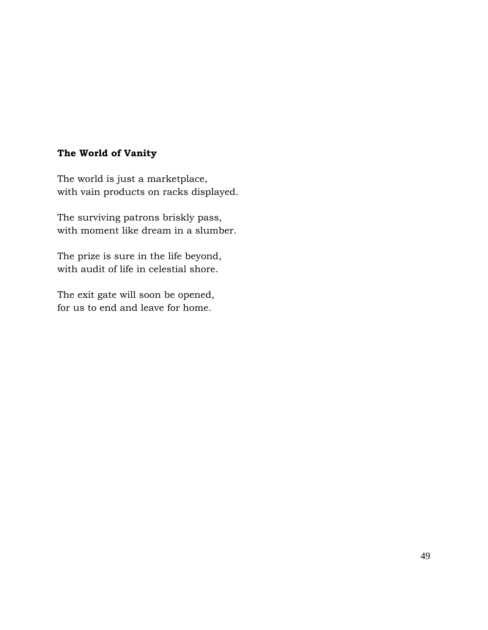# The World of Vanity

The world is just a marketplace, with vain products on racks displayed.

The surviving patrons briskly pass, with moment like dream in a slumber.

The prize is sure in the life beyond, with audit of life in celestial shore.

The exit gate will soon be opened, for us to end and leave for home.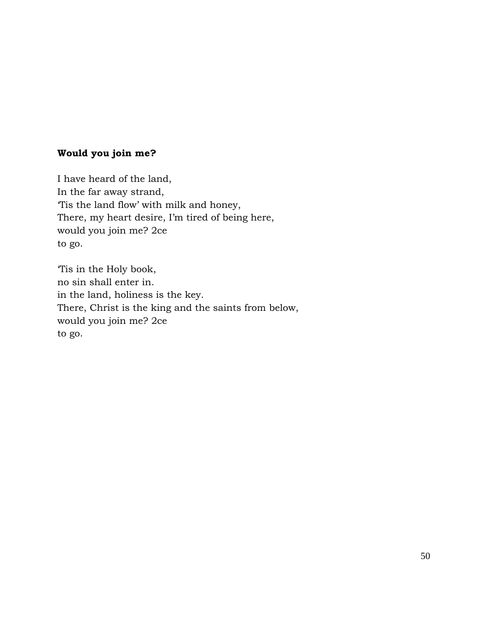# Would you join me?

I have heard of the land, In the far away strand, 'Tis the land flow' with milk and honey, There, my heart desire, I'm tired of being here, would you join me? 2ce to go.

'Tis in the Holy book, no sin shall enter in. in the land, holiness is the key. There, Christ is the king and the saints from below, would you join me? 2ce to go.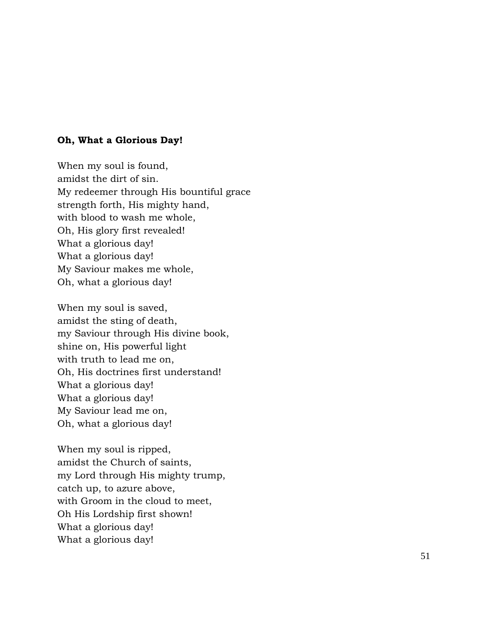### Oh, What a Glorious Day!

When my soul is found, amidst the dirt of sin. My redeemer through His bountiful grace strength forth, His mighty hand, with blood to wash me whole, Oh, His glory first revealed! What a glorious day! What a glorious day! My Saviour makes me whole, Oh, what a glorious day!

When my soul is saved, amidst the sting of death, my Saviour through His divine book, shine on, His powerful light with truth to lead me on, Oh, His doctrines first understand! What a glorious day! What a glorious day! My Saviour lead me on, Oh, what a glorious day!

When my soul is ripped, amidst the Church of saints, my Lord through His mighty trump, catch up, to azure above, with Groom in the cloud to meet, Oh His Lordship first shown! What a glorious day! What a glorious day!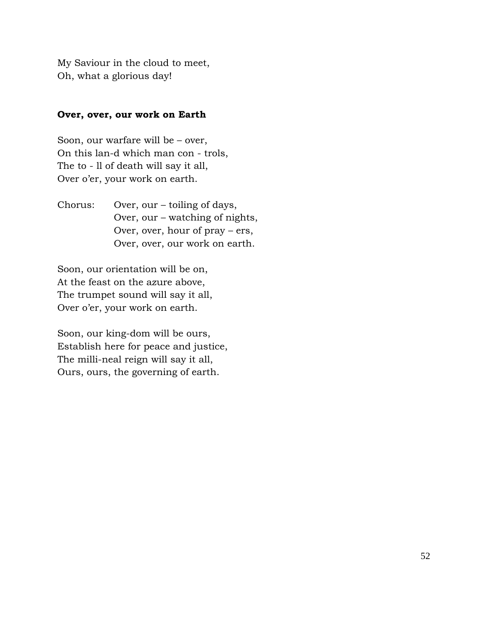My Saviour in the cloud to meet, Oh, what a glorious day!

# Over, over, our work on Earth

Soon, our warfare will be – over, On this lan-d which man con - trols, The to - ll of death will say it all, Over o'er, your work on earth.

Chorus: Over, our – toiling of days, Over, our – watching of nights, Over, over, hour of pray – ers, Over, over, our work on earth.

Soon, our orientation will be on, At the feast on the azure above, The trumpet sound will say it all, Over o'er, your work on earth.

Soon, our king-dom will be ours, Establish here for peace and justice, The milli-neal reign will say it all, Ours, ours, the governing of earth.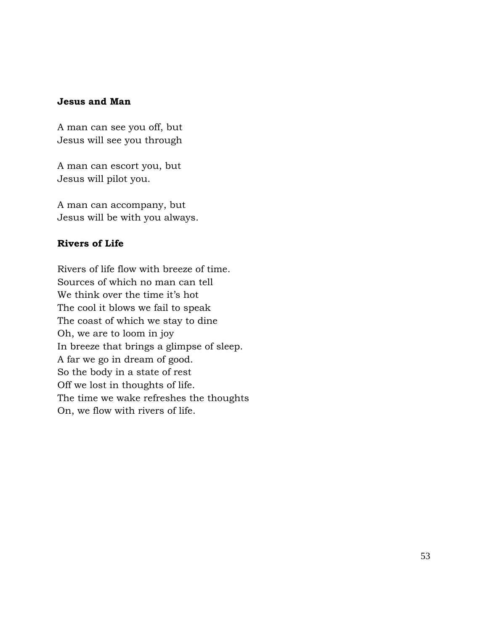### Jesus and Man

A man can see you off, but Jesus will see you through

A man can escort you, but Jesus will pilot you.

A man can accompany, but Jesus will be with you always.

# Rivers of Life

Rivers of life flow with breeze of time. Sources of which no man can tell We think over the time it's hot The cool it blows we fail to speak The coast of which we stay to dine Oh, we are to loom in joy In breeze that brings a glimpse of sleep. A far we go in dream of good. So the body in a state of rest Off we lost in thoughts of life. The time we wake refreshes the thoughts On, we flow with rivers of life.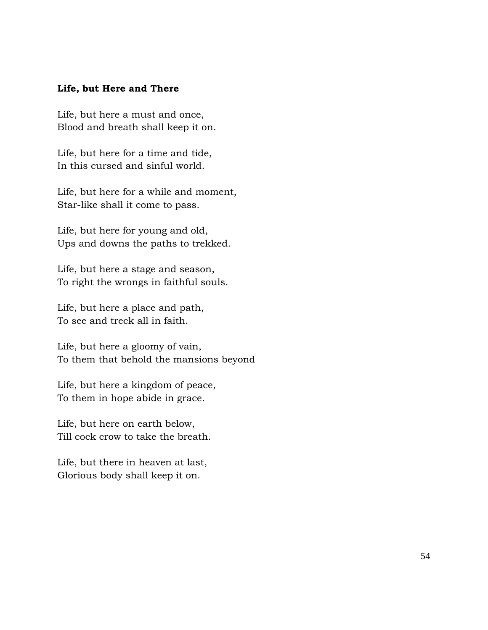### Life, but Here and There

Life, but here a must and once, Blood and breath shall keep it on.

Life, but here for a time and tide, In this cursed and sinful world.

Life, but here for a while and moment, Star-like shall it come to pass.

Life, but here for young and old, Ups and downs the paths to trekked.

Life, but here a stage and season, To right the wrongs in faithful souls.

Life, but here a place and path, To see and treck all in faith.

Life, but here a gloomy of vain, To them that behold the mansions beyond

Life, but here a kingdom of peace, To them in hope abide in grace.

Life, but here on earth below, Till cock crow to take the breath.

Life, but there in heaven at last, Glorious body shall keep it on.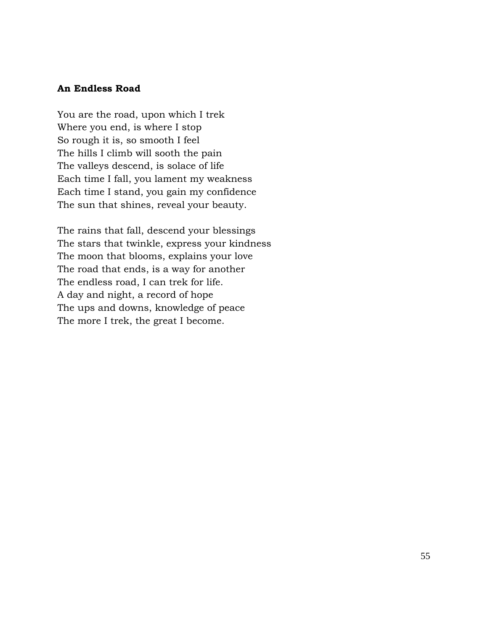### An Endless Road

You are the road, upon which I trek Where you end, is where I stop So rough it is, so smooth I feel The hills I climb will sooth the pain The valleys descend, is solace of life Each time I fall, you lament my weakness Each time I stand, you gain my confidence The sun that shines, reveal your beauty.

The rains that fall, descend your blessings The stars that twinkle, express your kindness The moon that blooms, explains your love The road that ends, is a way for another The endless road, I can trek for life. A day and night, a record of hope The ups and downs, knowledge of peace The more I trek, the great I become.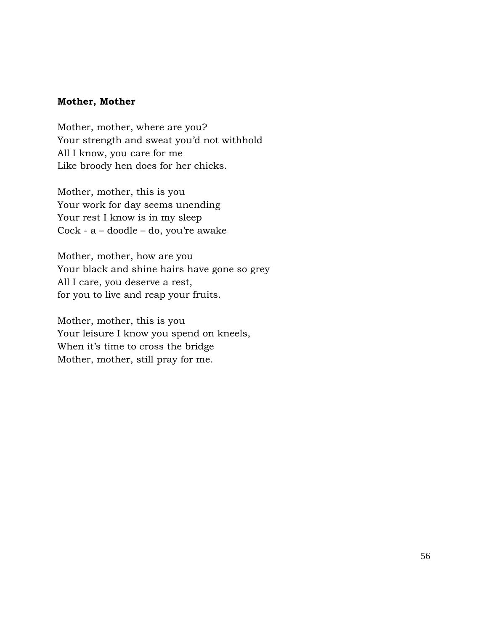### Mother, Mother

Mother, mother, where are you? Your strength and sweat you'd not withhold All I know, you care for me Like broody hen does for her chicks.

Mother, mother, this is you Your work for day seems unending Your rest I know is in my sleep Cock - a – doodle – do, you're awake

Mother, mother, how are you Your black and shine hairs have gone so grey All I care, you deserve a rest, for you to live and reap your fruits.

Mother, mother, this is you Your leisure I know you spend on kneels, When it's time to cross the bridge Mother, mother, still pray for me.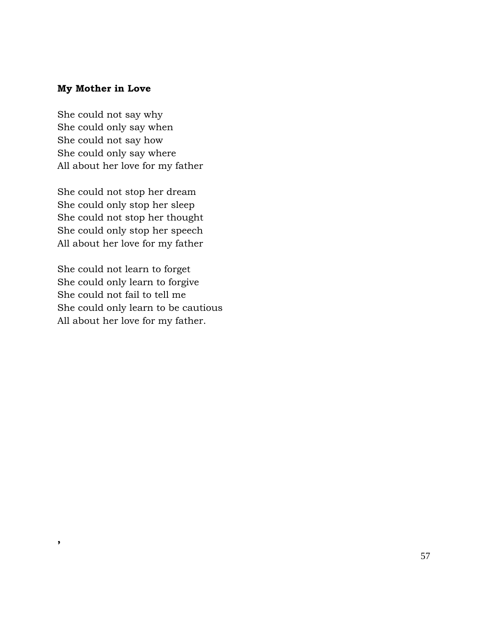# My Mother in Love

She could not say why She could only say when She could not say how She could only say where All about her love for my father

She could not stop her dream She could only stop her sleep She could not stop her thought She could only stop her speech All about her love for my father

She could not learn to forget She could only learn to forgive She could not fail to tell me She could only learn to be cautious All about her love for my father.

,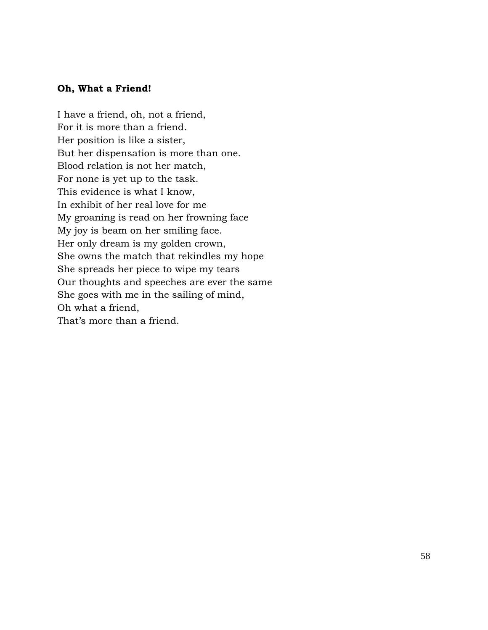### Oh, What a Friend!

I have a friend, oh, not a friend, For it is more than a friend. Her position is like a sister, But her dispensation is more than one. Blood relation is not her match, For none is yet up to the task. This evidence is what I know, In exhibit of her real love for me My groaning is read on her frowning face My joy is beam on her smiling face. Her only dream is my golden crown, She owns the match that rekindles my hope She spreads her piece to wipe my tears Our thoughts and speeches are ever the same She goes with me in the sailing of mind, Oh what a friend, That's more than a friend.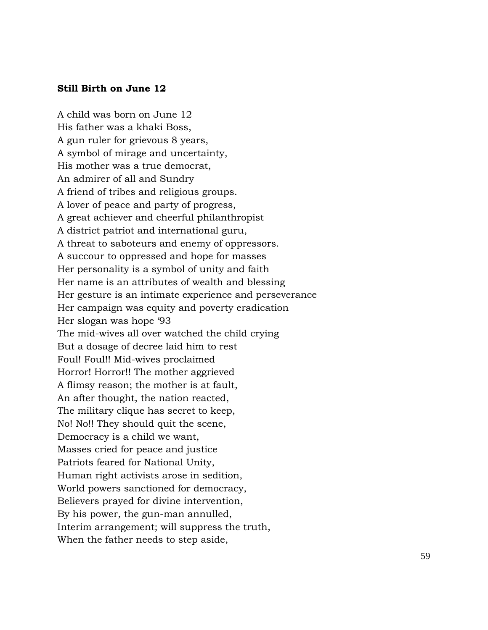### Still Birth on June 12

A child was born on June 12 His father was a khaki Boss, A gun ruler for grievous 8 years, A symbol of mirage and uncertainty, His mother was a true democrat, An admirer of all and Sundry A friend of tribes and religious groups. A lover of peace and party of progress, A great achiever and cheerful philanthropist A district patriot and international guru, A threat to saboteurs and enemy of oppressors. A succour to oppressed and hope for masses Her personality is a symbol of unity and faith Her name is an attributes of wealth and blessing Her gesture is an intimate experience and perseverance Her campaign was equity and poverty eradication Her slogan was hope '93 The mid-wives all over watched the child crying But a dosage of decree laid him to rest Foul! Foul!! Mid-wives proclaimed Horror! Horror!! The mother aggrieved A flimsy reason; the mother is at fault, An after thought, the nation reacted, The military clique has secret to keep, No! No!! They should quit the scene, Democracy is a child we want, Masses cried for peace and justice Patriots feared for National Unity, Human right activists arose in sedition, World powers sanctioned for democracy, Believers prayed for divine intervention, By his power, the gun-man annulled, Interim arrangement; will suppress the truth, When the father needs to step aside,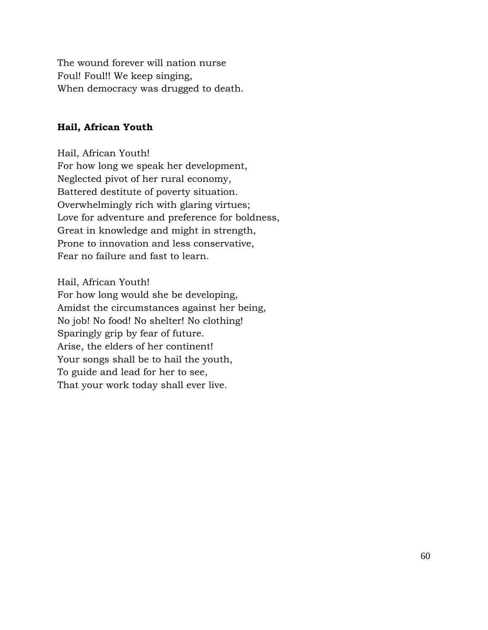The wound forever will nation nurse Foul! Foul!! We keep singing, When democracy was drugged to death.

### Hail, African Youth

Hail, African Youth! For how long we speak her development, Neglected pivot of her rural economy, Battered destitute of poverty situation. Overwhelmingly rich with glaring virtues; Love for adventure and preference for boldness, Great in knowledge and might in strength, Prone to innovation and less conservative, Fear no failure and fast to learn.

### Hail, African Youth!

For how long would she be developing, Amidst the circumstances against her being, No job! No food! No shelter! No clothing! Sparingly grip by fear of future. Arise, the elders of her continent! Your songs shall be to hail the youth, To guide and lead for her to see, That your work today shall ever live.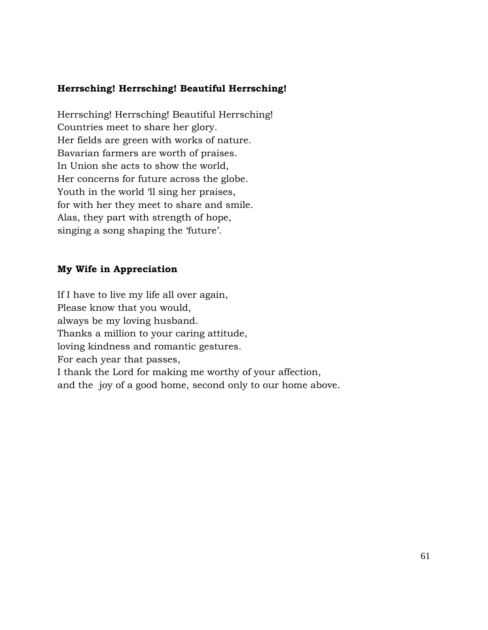# Herrsching! Herrsching! Beautiful Herrsching!

Herrsching! Herrsching! Beautiful Herrsching! Countries meet to share her glory. Her fields are green with works of nature. Bavarian farmers are worth of praises. In Union she acts to show the world, Her concerns for future across the globe. Youth in the world 'll sing her praises, for with her they meet to share and smile. Alas, they part with strength of hope, singing a song shaping the 'future'.

# My Wife in Appreciation

If I have to live my life all over again, Please know that you would, always be my loving husband. Thanks a million to your caring attitude, loving kindness and romantic gestures. For each year that passes, I thank the Lord for making me worthy of your affection, and the joy of a good home, second only to our home above.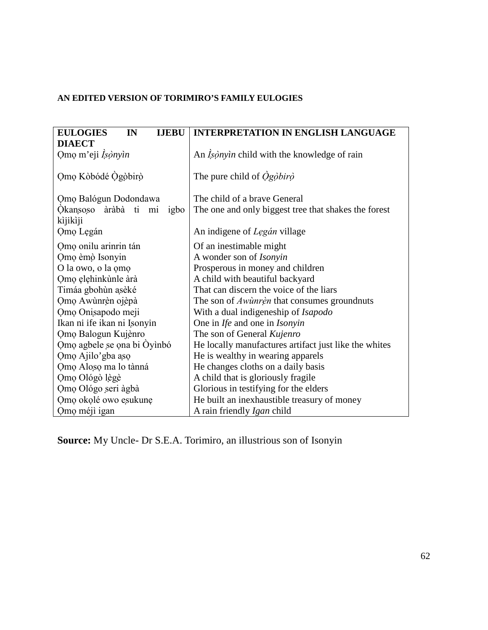# **AN EDITED VERSION OF TORIMIRO'S FAMILY EULOGIES**

| <b>EULOGIES</b><br>IN<br><b>IJEBU</b> | <b>INTERPRETATION IN ENGLISH LANGUAGE</b>             |
|---------------------------------------|-------------------------------------------------------|
| <b>DIAECT</b>                         |                                                       |
| Omo m'eji Isònyin                     | An <i>Isònyin</i> child with the knowledge of rain    |
|                                       |                                                       |
| Omo Kòbódé Ogòbirò                    | The pure child of $\dot{O}$ gobiro                    |
|                                       |                                                       |
| Omo Balógun Dodondawa                 | The child of a brave General                          |
| Okansoso àràbà ti mi<br>igbo          | The one and only biggest tree that shakes the forest  |
| kìjikìji                              |                                                       |
| Omo Legán                             | An indigene of <i>Legán</i> village                   |
| Omo onilu arinrin tán                 | Of an inestimable might                               |
| Omo èmò Isonyin                       | A wonder son of Isonyin                               |
| O la owo, o la omo                    | Prosperous in money and children                      |
| Omo elehinkunle ara                   | A child with beautiful backyard                       |
| Timáa gbohùn asèké                    | That can discern the voice of the liars               |
| Omo Awùnrèn ojèpà                     | The son of <i>Awunren</i> that consumes groundnuts    |
| Omo Onisapodo meji                    | With a dual indigeneship of Isapodo                   |
| Ikan ni ife ikan ni Isonyin           | One in Ife and one in Isonyin                         |
| Omo Balogun Kujènro                   | The son of General Kujenro                            |
| Omo agbele se ona bi Oyinbó           | He locally manufactures artifact just like the whites |
| Omo Ajilo'gba aso                     | He is wealthy in wearing apparels                     |
| Omo Aloso ma lo tànná                 | He changes cloths on a daily basis                    |
| Omo Ológò lègè                        | A child that is gloriously fragile                    |
| Omo Ológo seri àgbà                   | Glorious in testifying for the elders                 |
| Omo okolé owo esukune                 | He built an inexhaustible treasury of money           |
| Omo méjì igan                         | A rain friendly <i>Igan</i> child                     |

**Source:** My Uncle- Dr S.E.A. Torimiro, an illustrious son of Isonyin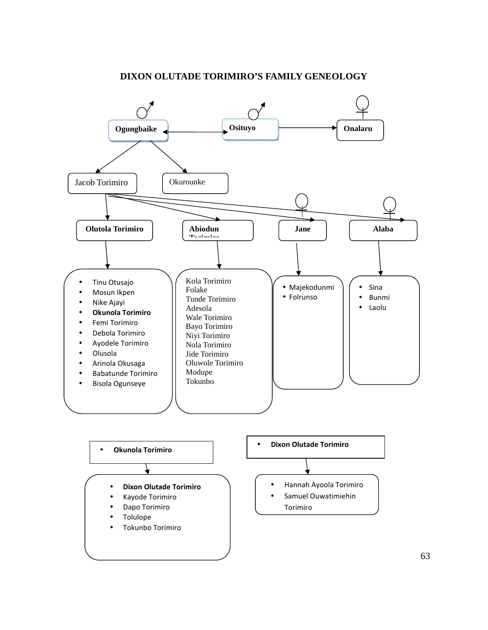

### **DIXON OLUTADE TORIMIRO'S FAMILY GENEOLOGY**